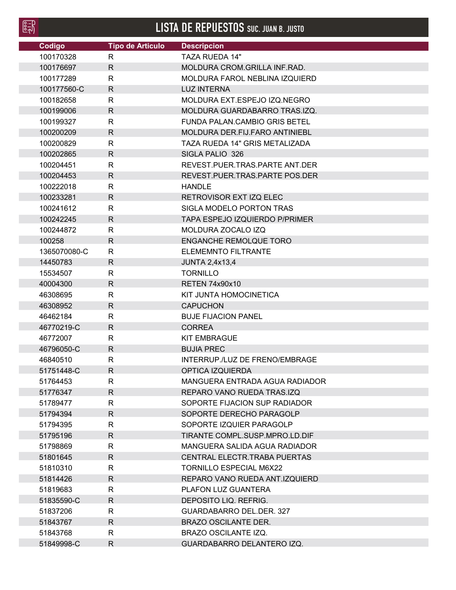| 鷗 | <b>LISTA DE REPUESTOS SUC. JUAN B. JUSTO</b> |                         |                                       |
|---|----------------------------------------------|-------------------------|---------------------------------------|
|   | Codigo                                       | <b>Tipo de Articulo</b> | <b>Descripcion</b>                    |
|   | 100170328                                    | R                       | TAZA RUEDA 14"                        |
|   | 100176697                                    | R.                      | MOLDURA CROM.GRILLA INF.RAD.          |
|   | 100177289                                    | R                       | MOLDURA FAROL NEBLINA IZQUIERD        |
|   | 100177560-C                                  | R.                      | <b>LUZ INTERNA</b>                    |
|   | 100182658                                    | R                       | MOLDURA EXT.ESPEJO IZQ.NEGRO          |
|   | 100199006                                    | $\mathsf{R}$            | MOLDURA GUARDABARRO TRAS.IZQ.         |
|   | 100199327                                    | R                       | <b>FUNDA PALAN.CAMBIO GRIS BETEL</b>  |
|   | 100200209                                    | $\mathsf{R}$            | <b>MOLDURA DER.FIJ.FARO ANTINIEBL</b> |
|   | 100200829                                    | R                       | TAZA RUEDA 14" GRIS METALIZADA        |
|   | 100202865                                    | $\mathsf{R}$            | SIGLA PALIO 326                       |
|   | 100204451                                    | R                       | REVEST.PUER.TRAS.PARTE ANT.DER        |
|   | 100204453                                    | R                       | REVEST.PUER.TRAS.PARTE POS.DER        |
|   | 100222018                                    | $\mathsf{R}$            | <b>HANDLE</b>                         |
|   | 100233281                                    | $\mathsf{R}$            | RETROVISOR EXT IZQ ELEC               |
|   | 100241612                                    | $\mathsf{R}$            | SIGLA MODELO PORTON TRAS              |
|   | 100242245                                    | $\mathsf{R}$            | <b>TAPA ESPEJO IZQUIERDO P/PRIMER</b> |
|   | 100244872                                    | R                       | MOLDURA ZOCALO IZQ                    |
|   | 100258                                       | $\mathsf{R}$            | <b>ENGANCHE REMOLQUE TORO</b>         |
|   | 1365070080-C                                 | R                       | <b>ELEMEMNTO FILTRANTE</b>            |
|   | 14450783                                     | $\mathsf{R}$            | <b>JUNTA 2,4x13,4</b>                 |
|   | 15534507                                     | R                       | <b>TORNILLO</b>                       |
|   | 40004300                                     | R                       | <b>RETEN 74x90x10</b>                 |
|   | 46308695                                     | R                       | KIT JUNTA HOMOCINETICA                |
|   | 46308952                                     | $\mathsf{R}$            | <b>CAPUCHON</b>                       |
|   | 46462184                                     | R                       | <b>BUJE FIJACION PANEL</b>            |
|   | 46770219-C                                   | R.                      | <b>CORREA</b>                         |
|   | 46772007                                     | R                       | <b>KIT EMBRAGUE</b>                   |
|   | 46796050-C                                   | R                       | <b>BUJIA PREC</b>                     |
|   | 46840510                                     | R                       | INTERRUP./LUZ DE FRENO/EMBRAGE        |
|   | 51751448-C                                   | R                       | OPTICA IZQUIERDA                      |
|   | 51764453                                     | R                       | MANGUERA ENTRADA AGUA RADIADOR        |
|   | 51776347                                     | $\mathsf{R}$            | REPARO VANO RUEDA TRAS.IZQ            |
|   | 51789477                                     | R                       | SOPORTE FIJACION SUP RADIADOR         |
|   | 51794394                                     | R                       | SOPORTE DERECHO PARAGOLP              |
|   | 51794395                                     | R                       | SOPORTE IZQUIER PARAGOLP              |
|   | 51795196                                     | R                       | TIRANTE COMPL.SUSP.MPRO.LD.DIF        |
|   | 51798869                                     | R                       | MANGUERA SALIDA AGUA RADIADOR         |
|   | 51801645                                     | R                       | CENTRAL ELECTR.TRABA PUERTAS          |
|   | 51810310                                     | $\mathsf{R}$            | <b>TORNILLO ESPECIAL M6X22</b>        |
|   | 51814426                                     | R                       | REPARO VANO RUEDA ANT.IZQUIERD        |
|   | 51819683                                     | R                       | PLAFON LUZ GUANTERA                   |
|   | 51835590-C                                   | R.                      | DEPOSITO LIQ. REFRIG.                 |
|   | 51837206                                     | R                       | GUARDABARRO DEL.DER. 327              |
|   | 51843767                                     | $\mathsf{R}$            | <b>BRAZO OSCILANTE DER.</b>           |
|   | 51843768                                     | R                       | BRAZO OSCILANTE IZQ.                  |
|   | 51849998-C                                   | $\mathsf{R}$            | GUARDABARRO DELANTERO IZQ.            |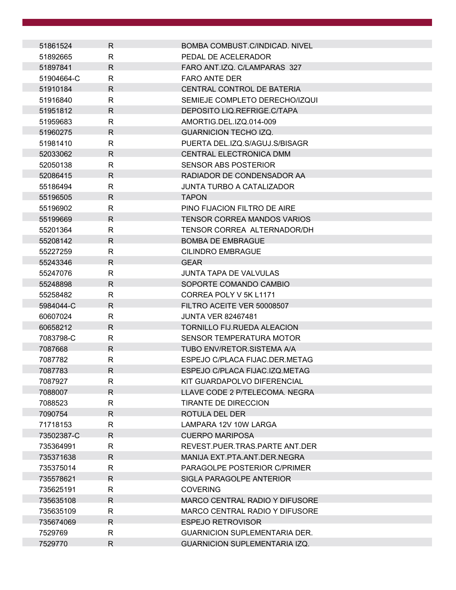| 51861524   | R            | <b>BOMBA COMBUST.C/INDICAD. NIVEL</b> |
|------------|--------------|---------------------------------------|
| 51892665   | R            | PEDAL DE ACELERADOR                   |
| 51897841   | $\mathsf{R}$ | FARO ANT.IZQ. C/LAMPARAS 327          |
| 51904664-C | $\mathsf{R}$ | <b>FARO ANTE DER</b>                  |
| 51910184   | R            | CENTRAL CONTROL DE BATERIA            |
| 51916840   | $\mathsf{R}$ | SEMIEJE COMPLETO DERECHO/IZQUI        |
| 51951812   | $\mathsf{R}$ | DEPOSITO LIQ.REFRIGE.C/TAPA           |
| 51959683   | R            | AMORTIG.DEL.IZQ.014-009               |
| 51960275   | R.           | <b>GUARNICION TECHO IZQ.</b>          |
| 51981410   | R            | PUERTA DEL.IZQ.S/AGUJ.S/BISAGR        |
| 52033062   | R.           | CENTRAL ELECTRONICA DMM               |
| 52050138   | R            | <b>SENSOR ABS POSTERIOR</b>           |
| 52086415   | R            | RADIADOR DE CONDENSADOR AA            |
| 55186494   | R            | <b>JUNTA TURBO A CATALIZADOR</b>      |
| 55196505   | R            | <b>TAPON</b>                          |
| 55196902   | R            | PINO FIJACION FILTRO DE AIRE          |
| 55199669   | R.           | TENSOR CORREA MANDOS VARIOS           |
| 55201364   | R            | TENSOR CORREA ALTERNADOR/DH           |
| 55208142   | R.           | <b>BOMBA DE EMBRAGUE</b>              |
| 55227259   | R            | <b>CILINDRO EMBRAGUE</b>              |
| 55243346   | R            | <b>GEAR</b>                           |
| 55247076   | R            | JUNTA TAPA DE VALVULAS                |
| 55248898   | R            | SOPORTE COMANDO CAMBIO                |
| 55258482   | R            | CORREA POLY V 5K L1171                |
| 5984044-C  | $\mathsf{R}$ | FILTRO ACEITE VER 50008507            |
| 60607024   | R            | <b>JUNTA VER 82467481</b>             |
| 60658212   | R.           | TORNILLO FIJ.RUEDA ALEACION           |
| 7083798-C  | R            | SENSOR TEMPERATURA MOTOR              |
| 7087668    | R.           | TUBO ENV/RETOR.SISTEMA A/A            |
| 7087782    | R            | ESPEJO C/PLACA FIJAC.DER.METAG        |
| 7087783    | R            | ESPEJO C/PLACA FIJAC.IZQ.METAG        |
| 7087927    | R            | KIT GUARDAPOLVO DIFERENCIAL           |
| 7088007    | R.           | LLAVE CODE 2 P/TELECOMA. NEGRA        |
| 7088523    | $\mathsf{R}$ | <b>TIRANTE DE DIRECCION</b>           |
| 7090754    | R.           | ROTULA DEL DER                        |
| 71718153   | R            | LAMPARA 12V 10W LARGA                 |
| 73502387-C | $\mathsf{R}$ | <b>CUERPO MARIPOSA</b>                |
| 735364991  | $\mathsf{R}$ | REVEST.PUER.TRAS.PARTE ANT.DER        |
| 735371638  | $\mathsf{R}$ | MANIJA EXT.PTA.ANT.DER.NEGRA          |
| 735375014  | R            | PARAGOLPE POSTERIOR C/PRIMER          |
| 735578621  | $\mathsf{R}$ | SIGLA PARAGOLPE ANTERIOR              |
| 735625191  | R            | <b>COVERING</b>                       |
| 735635108  | $\mathsf{R}$ | MARCO CENTRAL RADIO Y DIFUSORE        |
| 735635109  | $\mathsf{R}$ | MARCO CENTRAL RADIO Y DIFUSORE        |
| 735674069  | R.           | <b>ESPEJO RETROVISOR</b>              |
| 7529769    | R            | <b>GUARNICION SUPLEMENTARIA DER.</b>  |
| 7529770    | R            | <b>GUARNICION SUPLEMENTARIA IZQ.</b>  |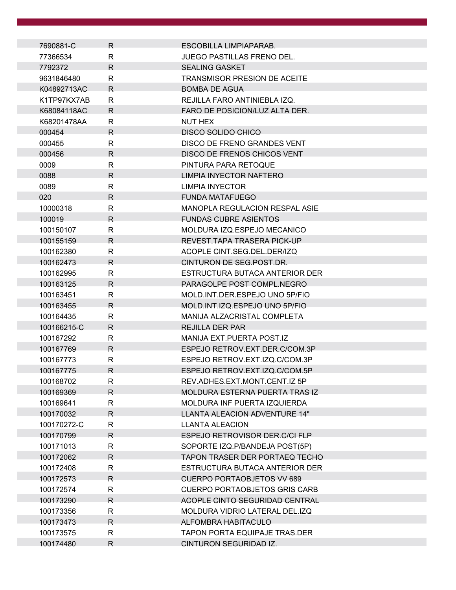| 7690881-C   | R. | ESCOBILLA LIMPIAPARAB.                |
|-------------|----|---------------------------------------|
| 77366534    | R. | <b>JUEGO PASTILLAS FRENO DEL.</b>     |
| 7792372     | R. | <b>SEALING GASKET</b>                 |
| 9631846480  | R  | <b>TRANSMISOR PRESION DE ACEITE</b>   |
| K04892713AC | R. | <b>BOMBA DE AGUA</b>                  |
| K1TP97KX7AB | R. | REJILLA FARO ANTINIEBLA IZQ.          |
| K68084118AC | R. | FARO DE POSICION/LUZ ALTA DER.        |
| K68201478AA | R  | <b>NUT HEX</b>                        |
| 000454      | R. | DISCO SOLIDO CHICO                    |
| 000455      | R  | DISCO DE FRENO GRANDES VENT           |
| 000456      | R  | DISCO DE FRENOS CHICOS VENT           |
| 0009        | R  | PINTURA PARA RETOQUE                  |
| 0088        | R. | LIMPIA INYECTOR NAFTERO               |
| 0089        | R  | LIMPIA INYECTOR                       |
| 020         | R. | <b>FUNDA MATAFUEGO</b>                |
| 10000318    | R  | <b>MANOPLA REGULACION RESPAL ASIE</b> |
| 100019      | R  | <b>FUNDAS CUBRE ASIENTOS</b>          |
| 100150107   | R. | MOLDURA IZQ.ESPEJO MECANICO           |
| 100155159   | R  | REVEST TAPA TRASERA PICK-UP           |
| 100162380   | R  | ACOPLE CINT.SEG.DEL.DER/IZQ           |
| 100162473   | R  | CINTURON DE SEG POST.DR.              |
| 100162995   | R  | ESTRUCTURA BUTACA ANTERIOR DER        |
| 100163125   | R  | PARAGOLPE POST COMPL.NEGRO            |
| 100163451   | R  | MOLD.INT.DER.ESPEJO UNO 5P/FIO        |
| 100163455   | R. | MOLD.INT.IZQ.ESPEJO UNO 5P/FIO        |
| 100164435   | R  | MANIJA ALZACRISTAL COMPLETA           |
| 100166215-C | R. | REJILLA DER PAR                       |
| 100167292   | R  | MANIJA EXT.PUERTA POST.IZ             |
| 100167769   | R  | ESPEJO RETROV.EXT.DER.C/COM.3P        |
| 100167773   | R  | ESPEJO RETROV.EXT.IZQ.C/COM.3P        |
| 100167775   | R  | ESPEJO RETROV.EXT.IZQ.C/COM.5P        |
| 100168702   | R  | REV.ADHES.EXT.MONT.CENT.IZ 5P         |
| 100169369   | R  | MOLDURA ESTERNA PUERTA TRAS IZ        |
| 100169641   | R  | MOLDURA INF PUERTA IZQUIERDA          |
| 100170032   | R  | LLANTA ALEACION ADVENTURE 14"         |
| 100170272-C | R  | <b>LLANTA ALEACION</b>                |
| 100170799   | R  | ESPEJO RETROVISOR DER.C/CI FLP        |
| 100171013   | R  | SOPORTE IZQ.P/BANDEJA POST(5P)        |
| 100172062   | R. | <b>TAPON TRASER DER PORTAEQ TECHO</b> |
| 100172408   | R  | ESTRUCTURA BUTACA ANTERIOR DER        |
| 100172573   | R  | <b>CUERPO PORTAOBJETOS VV 689</b>     |
| 100172574   | R  | <b>CUERPO PORTAOBJETOS GRIS CARB</b>  |
| 100173290   | R  | ACOPLE CINTO SEGURIDAD CENTRAL        |
| 100173356   | R  | MOLDURA VIDRIO LATERAL DEL.IZQ        |
| 100173473   | R  | ALFOMBRA HABITACULO                   |
| 100173575   | R  | <b>TAPON PORTA EQUIPAJE TRAS.DER</b>  |
| 100174480   | R  | CINTURON SEGURIDAD IZ.                |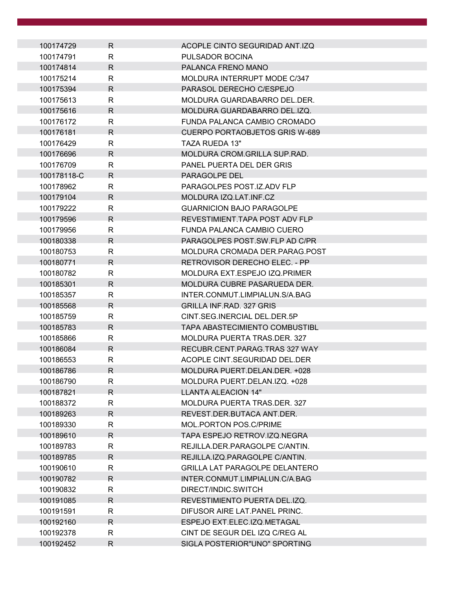| 100174729              | R.           | ACOPLE CINTO SEGURIDAD ANT.IZQ                       |
|------------------------|--------------|------------------------------------------------------|
| 100174791              | R            | PULSADOR BOCINA                                      |
| 100174814              | $\mathsf{R}$ | PALANCA FRENO MANO                                   |
| 100175214              | R            | MOLDURA INTERRUPT MODE C/347                         |
| 100175394              | R.           | PARASOL DERECHO C/ESPEJO                             |
| 100175613              | R            | MOLDURA GUARDABARRO DEL.DER.                         |
| 100175616              | R.           | MOLDURA GUARDABARRO DEL.IZQ.                         |
| 100176172              | $\mathsf{R}$ | FUNDA PALANCA CAMBIO CROMADO                         |
| 100176181              | R            | <b>CUERPO PORTAOBJETOS GRIS W-689</b>                |
| 100176429              | R            | TAZA RUEDA 13"                                       |
| 100176696              | R.           | MOLDURA CROM.GRILLA SUP.RAD.                         |
| 100176709              | R            | PANEL PUERTA DEL DER GRIS                            |
| 100178118-C            | R.           | PARAGOLPE DEL                                        |
| 100178962              | R            | PARAGOLPES POST.IZ.ADV FLP                           |
| 100179104              | R.           | MOLDURA IZQ.LAT.INF.CZ                               |
| 100179222              | R            | <b>GUARNICION BAJO PARAGOLPE</b>                     |
| 100179596              | R            | REVESTIMIENT. TAPA POST ADV FLP                      |
| 100179956              | R.           | FUNDA PALANCA CAMBIO CUERO                           |
| 100180338              | R.           | PARAGOLPES POST.SW.FLP AD C/PR                       |
| 100180753              | R            | MOLDURA CROMADA DER.PARAG.POST                       |
| 100180771              | R.           | RETROVISOR DERECHO ELEC. - PP                        |
| 100180782              | R            | MOLDURA EXT.ESPEJO IZQ.PRIMER                        |
| 100185301              | R.           | MOLDURA CUBRE PASARUEDA DER.                         |
| 100185357              | R            | INTER.CONMUT.LIMPIALUN.S/A.BAG                       |
| 100185568              | R.           | <b>GRILLA INF.RAD. 327 GRIS</b>                      |
| 100185759              | R            | CINT.SEG.INERCIAL DEL.DER.5P                         |
| 100185783              | $\mathsf{R}$ | <b>TAPA ABASTECIMIENTO COMBUSTIBL</b>                |
| 100185866              | R            | MOLDURA PUERTA TRAS.DER. 327                         |
| 100186084              | R.           | RECUBR.CENT.PARAG.TRAS 327 WAY                       |
| 100186553              | R.           | ACOPLE CINT.SEGURIDAD DEL.DER                        |
| 100186786              | R            | MOLDURA PUERT.DELAN.DER. +028                        |
| 100186790              | R            | MOLDURA PUERT.DELAN.IZQ. +028                        |
| 100187821              | R.           | <b>LLANTA ALEACION 14"</b>                           |
| 100188372              | R            | MOLDURA PUERTA TRAS.DER. 327                         |
| 100189263              | R            | REVEST.DER.BUTACA ANT.DER.                           |
| 100189330              | R.           | MOL.PORTON POS.C/PRIME                               |
| 100189610              | R.           | TAPA ESPEJO RETROV.IZQ.NEGRA                         |
| 100189783              | R<br>R.      | REJILLA.DER.PARAGOLPE C/ANTIN.                       |
| 100189785              |              | REJILLA.IZQ.PARAGOLPE C/ANTIN.                       |
| 100190610              | R            | <b>GRILLA LAT PARAGOLPE DELANTERO</b>                |
| 100190782              | R.           | INTER.CONMUT.LIMPIALUN.C/A.BAG                       |
| 100190832              | R.           | DIRECT/INDIC.SWITCH<br>REVESTIMIENTO PUERTA DEL.IZQ. |
| 100191085<br>100191591 | R<br>R       | DIFUSOR AIRE LAT. PANEL PRINC.                       |
| 100192160              | R.           | ESPEJO EXT.ELEC.IZQ.METAGAL                          |
| 100192378              | R            | CINT DE SEGUR DEL IZQ C/REG AL                       |
| 100192452              | R            | SIGLA POSTERIOR"UNO" SPORTING                        |
|                        |              |                                                      |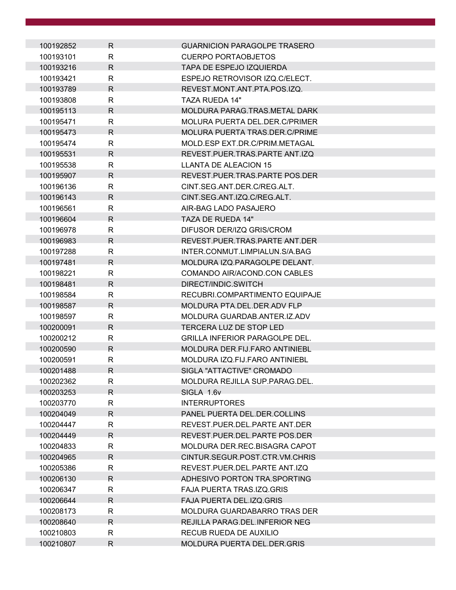| 100192852 | R.           | <b>GUARNICION PARAGOLPE TRASERO</b>   |  |
|-----------|--------------|---------------------------------------|--|
| 100193101 | R            | <b>CUERPO PORTAOBJETOS</b>            |  |
| 100193216 | R.           | TAPA DE ESPEJO IZQUIERDA              |  |
| 100193421 | $\mathsf{R}$ | ESPEJO RETROVISOR IZQ.C/ELECT.        |  |
| 100193789 | R.           | REVEST.MONT.ANT.PTA.POS.IZQ.          |  |
| 100193808 | R            | <b>TAZA RUEDA 14"</b>                 |  |
| 100195113 | R            | MOLDURA PARAG.TRAS.METAL DARK         |  |
| 100195471 | R            | MOLURA PUERTA DEL.DER.C/PRIMER        |  |
| 100195473 | R.           | MOLURA PUERTA TRAS.DER.C/PRIME        |  |
| 100195474 | R            | MOLD.ESP EXT.DR.C/PRIM.METAGAL        |  |
| 100195531 | $\mathsf{R}$ | REVEST.PUER.TRAS.PARTE ANT.IZQ        |  |
| 100195538 | R            | <b>LLANTA DE ALEACION 15</b>          |  |
| 100195907 | R.           | REVEST PUER TRAS PARTE POS DER        |  |
| 100196136 | R            | CINT.SEG.ANT.DER.C/REG.ALT.           |  |
| 100196143 | R.           | CINT.SEG.ANT.IZQ.C/REG.ALT.           |  |
| 100196561 | $\mathsf{R}$ | AIR-BAG LADO PASAJERO                 |  |
| 100196604 | $\mathsf{R}$ | TAZA DE RUEDA 14"                     |  |
| 100196978 | $\mathsf{R}$ | DIFUSOR DER/IZQ GRIS/CROM             |  |
| 100196983 | R            | REVEST.PUER.TRAS.PARTE ANT.DER        |  |
| 100197288 | R            | INTER.CONMUT.LIMPIALUN.S/A.BAG        |  |
| 100197481 | R            | MOLDURA IZQ.PARAGOLPE DELANT.         |  |
| 100198221 | R            | COMANDO AIR/ACOND.CON CABLES          |  |
| 100198481 | $\mathsf{R}$ | DIRECT/INDIC.SWITCH                   |  |
| 100198584 | $\mathsf{R}$ | RECUBRI.COMPARTIMENTO EQUIPAJE        |  |
| 100198587 | R.           | MOLDURA PTA.DEL.DER.ADV FLP           |  |
| 100198597 | R            | MOLDURA GUARDAB ANTER IZ ADV          |  |
| 100200091 | R.           | <b>TERCERA LUZ DE STOP LED</b>        |  |
| 100200212 | R            | <b>GRILLA INFERIOR PARAGOLPE DEL.</b> |  |
| 100200590 | R.           | MOLDURA DER.FIJ.FARO ANTINIEBL        |  |
| 100200591 | $\mathsf{R}$ | MOLDURA IZQ.FIJ.FARO ANTINIEBL        |  |
| 100201488 | $\mathsf{R}$ | SIGLA "ATTACTIVE" CROMADO             |  |
| 100202362 | R            | MOLDURA REJILLA SUP.PARAG.DEL.        |  |
| 100203253 | $\mathsf{R}$ | SIGLA 1.6v                            |  |
| 100203770 | R            | <b>INTERRUPTORES</b>                  |  |
| 100204049 | R.           | PANEL PUERTA DEL.DER.COLLINS          |  |
| 100204447 | R.           | REVEST.PUER.DEL.PARTE ANT.DER         |  |
| 100204449 | R.           | REVEST.PUER.DEL.PARTE POS.DER         |  |
| 100204833 | R            | MOLDURA DER REC BISAGRA CAPOT         |  |
| 100204965 | R.           | CINTUR.SEGUR.POST.CTR.VM.CHRIS        |  |
| 100205386 | R            | REVEST.PUER.DEL.PARTE ANT.IZQ         |  |
| 100206130 | R.           | ADHESIVO PORTON TRA.SPORTING          |  |
| 100206347 | $\mathsf{R}$ | FAJA PUERTA TRAS.IZQ.GRIS             |  |
| 100206644 | R.           | FAJA PUERTA DEL.IZQ.GRIS              |  |
| 100208173 | $\mathsf{R}$ | MOLDURA GUARDABARRO TRAS DER          |  |
| 100208640 | R.           | REJILLA PARAG.DEL.INFERIOR NEG        |  |
| 100210803 | R            | RECUB RUEDA DE AUXILIO                |  |
| 100210807 | $\mathsf{R}$ | MOLDURA PUERTA DEL. DER. GRIS         |  |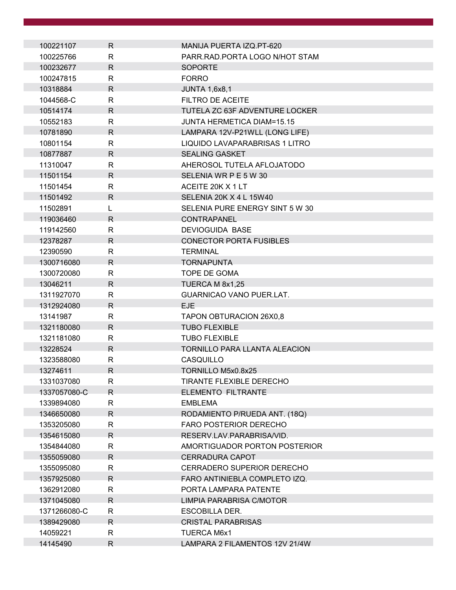| 100221107    | R            | <b>MANIJA PUERTA IZQ.PT-620</b>   |
|--------------|--------------|-----------------------------------|
| 100225766    | R            | PARR.RAD.PORTA LOGO N/HOT STAM    |
| 100232677    | $\mathsf{R}$ | <b>SOPORTE</b>                    |
| 100247815    | $\mathsf{R}$ | <b>FORRO</b>                      |
| 10318884     | R.           | <b>JUNTA 1,6x8,1</b>              |
| 1044568-C    | R.           | FILTRO DE ACEITE                  |
| 10514174     | $\mathsf{R}$ | TUTELA ZC 63F ADVENTURE LOCKER    |
| 10552183     | $\mathsf{R}$ | <b>JUNTA HERMETICA DIAM=15.15</b> |
| 10781890     | R.           | LAMPARA 12V-P21WLL (LONG LIFE)    |
| 10801154     | R            | LIQUIDO LAVAPARABRISAS 1 LITRO    |
| 10877887     | $\mathsf{R}$ | <b>SEALING GASKET</b>             |
| 11310047     | R            | AHEROSOL TUTELA AFLOJATODO        |
| 11501154     | R            | SELENIA WR P E 5 W 30             |
| 11501454     | R            | ACEITE 20K X 1 LT                 |
| 11501492     | R            | SELENIA 20K X 4 L 15W40           |
| 11502891     | L            | SELENIA PURE ENERGY SINT 5 W 30   |
| 119036460    | R            | <b>CONTRAPANEL</b>                |
| 119142560    | R            | <b>DEVIOGUIDA BASE</b>            |
| 12378287     | R.           | <b>CONECTOR PORTA FUSIBLES</b>    |
| 12390590     | R            | <b>TERMINAL</b>                   |
| 1300716080   | $\mathsf{R}$ | <b>TORNAPUNTA</b>                 |
| 1300720080   | R            | TOPE DE GOMA                      |
| 13046211     | $\mathsf{R}$ | TUERCA M 8x1,25                   |
| 1311927070   | R            | GUARNICAO VANO PUER.LAT.          |
| 1312924080   | $\mathsf{R}$ | <b>EJE</b>                        |
| 13141987     | $\mathsf{R}$ | TAPON OBTURACION 26X0,8           |
| 1321180080   | R            | <b>TUBO FLEXIBLE</b>              |
| 1321181080   | R            | <b>TUBO FLEXIBLE</b>              |
| 13228524     | R            | TORNILLO PARA LLANTA ALEACION     |
| 1323588080   | $\mathsf{R}$ | CASQUILLO                         |
| 13274611     | R            | TORNILLO M5x0.8x25                |
| 1331037080   | R            | <b>TIRANTE FLEXIBLE DERECHO</b>   |
| 1337057080-C | $\mathsf{R}$ | <b>ELEMENTO FILTRANTE</b>         |
| 1339894080   | R            | <b>EMBLEMA</b>                    |
| 1346650080   | R.           | RODAMIENTO P/RUEDA ANT. (18Q)     |
| 1353205080   | $\mathsf{R}$ | <b>FARO POSTERIOR DERECHO</b>     |
| 1354615080   | $\mathsf{R}$ | RESERV.LAV.PARABRISA/VID.         |
| 1354844080   | $\mathsf{R}$ | AMORTIGUADOR PORTON POSTERIOR     |
| 1355059080   | R            | CERRADURA CAPOT                   |
| 1355095080   | $\mathsf{R}$ | <b>CERRADERO SUPERIOR DERECHO</b> |
| 1357925080   | R            | FARO ANTINIEBLA COMPLETO IZQ.     |
| 1362912080   | $\mathsf{R}$ | PORTA LAMPARA PATENTE             |
| 1371045080   | R            | LIMPIA PARABRISA C/MOTOR          |
| 1371266080-C | $\mathsf{R}$ | <b>ESCOBILLA DER.</b>             |
| 1389429080   | R            | <b>CRISTAL PARABRISAS</b>         |
| 14059221     | R            | <b>TUERCA M6x1</b>                |
| 14145490     | R            | LAMPARA 2 FILAMENTOS 12V 21/4W    |
|              |              |                                   |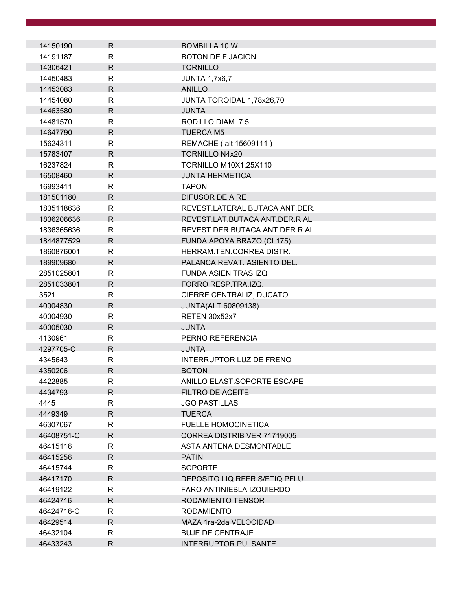| 14150190   | R.           | <b>BOMBILLA 10 W</b>            |
|------------|--------------|---------------------------------|
| 14191187   | $\mathsf{R}$ | <b>BOTON DE FIJACION</b>        |
| 14306421   | $\mathsf{R}$ | <b>TORNILLO</b>                 |
| 14450483   | $\mathsf{R}$ | <b>JUNTA 1,7x6,7</b>            |
| 14453083   | $\mathsf{R}$ | <b>ANILLO</b>                   |
| 14454080   | $\mathsf{R}$ | JUNTA TOROIDAL 1,78x26,70       |
| 14463580   | $\mathsf{R}$ | <b>JUNTA</b>                    |
| 14481570   | $\mathsf{R}$ | RODILLO DIAM. 7,5               |
| 14647790   | $\mathsf{R}$ | <b>TUERCA M5</b>                |
| 15624311   | $\mathsf{R}$ | REMACHE (alt 15609111)          |
| 15783407   | $\mathsf{R}$ | <b>TORNILLO N4x20</b>           |
| 16237824   | R            | <b>TORNILLO M10X1,25X110</b>    |
| 16508460   | R.           | <b>JUNTA HERMETICA</b>          |
| 16993411   | $\mathsf{R}$ | <b>TAPON</b>                    |
| 181501180  | $\mathsf{R}$ | <b>DIFUSOR DE AIRE</b>          |
| 1835118636 | $\mathsf{R}$ | REVEST.LATERAL BUTACA ANT.DER.  |
| 1836206636 | R            | REVEST.LAT.BUTACA ANT.DER.R.AL  |
| 1836365636 | R.           | REVEST.DER.BUTACA ANT.DER.R.AL  |
| 1844877529 | $\mathsf{R}$ | FUNDA APOYA BRAZO (CI 175)      |
| 1860876001 | R            | HERRAM.TEN.CORREA DISTR.        |
| 189909680  | R            | PALANCA REVAT. ASIENTO DEL.     |
| 2851025801 | R            | FUNDA ASIEN TRAS IZQ            |
| 2851033801 | $\mathsf{R}$ | FORRO RESP.TRA.IZQ.             |
| 3521       | $\mathsf{R}$ | CIERRE CENTRALIZ, DUCATO        |
| 40004830   | $\mathsf{R}$ | <b>JUNTA(ALT.60809138)</b>      |
| 40004930   | R            | RETEN 30x52x7                   |
| 40005030   | R            | <b>JUNTA</b>                    |
| 4130961    | R            | PERNO REFERENCIA                |
| 4297705-C  | $\mathsf{R}$ | <b>JUNTA</b>                    |
| 4345643    | $\mathsf{R}$ | <b>INTERRUPTOR LUZ DE FRENO</b> |
| 4350206    | $\mathsf{R}$ | <b>BOTON</b>                    |
| 4422885    | R            | ANILLO ELAST.SOPORTE ESCAPE     |
| 4434793    | $\mathsf{R}$ | FILTRO DE ACEITE                |
| 4445       | R.           | <b>JGO PASTILLAS</b>            |
| 4449349    | R            | <b>TUERCA</b>                   |
| 46307067   | R            | <b>FUELLE HOMOCINETICA</b>      |
| 46408751-C | R.           | CORREA DISTRIB VER 71719005     |
| 46415116   | $\mathsf{R}$ | ASTA ANTENA DESMONTABLE         |
| 46415256   | R.           | <b>PATIN</b>                    |
| 46415744   | $\mathsf{R}$ | <b>SOPORTE</b>                  |
| 46417170   | $\mathsf{R}$ | DEPOSITO LIQ.REFR.S/ETIQ.PFLU.  |
| 46419122   | R            | FARO ANTINIEBLA IZQUIERDO       |
| 46424716   | R.           | RODAMIENTO TENSOR               |
| 46424716-C | R            | <b>RODAMIENTO</b>               |
| 46429514   | R.           | MAZA 1ra-2da VELOCIDAD          |
| 46432104   | $\mathsf{R}$ | <b>BUJE DE CENTRAJE</b>         |
| 46433243   | R.           | <b>INTERRUPTOR PULSANTE</b>     |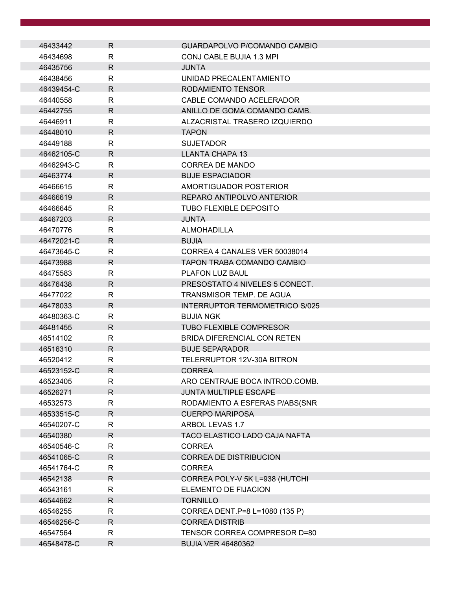| 46433442   | R.           | GUARDAPOLVO P/COMANDO CAMBIO          |
|------------|--------------|---------------------------------------|
| 46434698   | R            | CONJ CABLE BUJIA 1.3 MPI              |
| 46435756   | $\mathsf{R}$ | <b>JUNTA</b>                          |
| 46438456   | $\mathsf{R}$ | UNIDAD PRECALENTAMIENTO               |
| 46439454-C | R            | RODAMIENTO TENSOR                     |
| 46440558   | R.           | CABLE COMANDO ACELERADOR              |
| 46442755   | R            | ANILLO DE GOMA COMANDO CAMB.          |
| 46446911   | R            | ALZACRISTAL TRASERO IZQUIERDO         |
| 46448010   | R            | <b>TAPON</b>                          |
| 46449188   | R            | <b>SUJETADOR</b>                      |
| 46462105-C | R.           | <b>LLANTA CHAPA 13</b>                |
| 46462943-C | R            | CORREA DE MANDO                       |
| 46463774   | R.           | <b>BUJE ESPACIADOR</b>                |
| 46466615   | R            | AMORTIGUADOR POSTERIOR                |
| 46466619   | R            | REPARO ANTIPOLVO ANTERIOR             |
| 46466645   | R            | <b>TUBO FLEXIBLE DEPOSITO</b>         |
| 46467203   | R            | <b>JUNTA</b>                          |
| 46470776   | R            | <b>ALMOHADILLA</b>                    |
| 46472021-C | R.           | <b>BUJIA</b>                          |
| 46473645-C | R            | CORREA 4 CANALES VER 50038014         |
| 46473988   | R            | TAPON TRABA COMANDO CAMBIO            |
| 46475583   | R            | <b>PLAFON LUZ BAUL</b>                |
| 46476438   | R            | PRESOSTATO 4 NIVELES 5 CONECT.        |
| 46477022   | R            | TRANSMISOR TEMP. DE AGUA              |
| 46478033   | $\mathsf{R}$ | <b>INTERRUPTOR TERMOMETRICO S/025</b> |
| 46480363-C | R            | <b>BUJIA NGK</b>                      |
| 46481455   | R            | <b>TUBO FLEXIBLE COMPRESOR</b>        |
| 46514102   | $\mathsf{R}$ | <b>BRIDA DIFERENCIAL CON RETEN</b>    |
| 46516310   | R            | <b>BUJE SEPARADOR</b>                 |
| 46520412   | $\mathsf{R}$ | TELERRUPTOR 12V-30A BITRON            |
| 46523152-C | R            | <b>CORREA</b>                         |
| 46523405   | R            | ARO CENTRAJE BOCA INTROD.COMB.        |
| 46526271   | R.           | JUNTA MULTIPLE ESCAPE                 |
| 46532573   | $\mathsf{R}$ | RODAMIENTO A ESFERAS P/ABS(SNR        |
| 46533515-C | $\mathsf{R}$ | <b>CUERPO MARIPOSA</b>                |
| 46540207-C | R            | ARBOL LEVAS 1.7                       |
| 46540380   | $\mathsf{R}$ | TACO ELASTICO LADO CAJA NAFTA         |
| 46540546-C | R            | <b>CORREA</b>                         |
| 46541065-C | R            | <b>CORREA DE DISTRIBUCION</b>         |
| 46541764-C | R            | <b>CORREA</b>                         |
| 46542138   | $\mathsf{R}$ | CORREA POLY-V 5K L=938 (HUTCHI        |
| 46543161   | R            | ELEMENTO DE FIJACION                  |
| 46544662   | R            | <b>TORNILLO</b>                       |
| 46546255   | R            | CORREA DENT.P=8 L=1080 (135 P)        |
| 46546256-C | R            | <b>CORREA DISTRIB</b>                 |
| 46547564   | R            | TENSOR CORREA COMPRESOR D=80          |
| 46548478-C | R            | <b>BUJIA VER 46480362</b>             |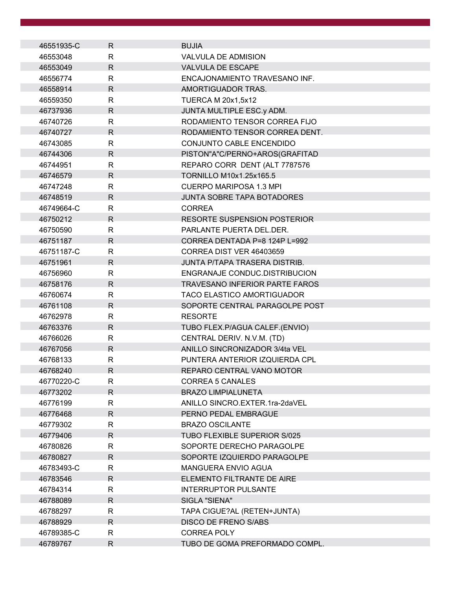| 46551935-C | R.           | <b>BUJIA</b>                          |
|------------|--------------|---------------------------------------|
| 46553048   | R            | <b>VALVULA DE ADMISION</b>            |
| 46553049   | $\mathsf{R}$ | <b>VALVULA DE ESCAPE</b>              |
| 46556774   | $\mathsf{R}$ | ENCAJONAMIENTO TRAVESANO INF.         |
| 46558914   | R.           | AMORTIGUADOR TRAS.                    |
| 46559350   | $\mathsf{R}$ | <b>TUERCA M 20x1,5x12</b>             |
| 46737936   | $\mathsf{R}$ | JUNTA MULTIPLE ESC.y ADM.             |
| 46740726   | $\mathsf{R}$ | RODAMIENTO TENSOR CORREA FIJO         |
| 46740727   | R            | RODAMIENTO TENSOR CORREA DENT.        |
| 46743085   | R            | CONJUNTO CABLE ENCENDIDO              |
| 46744306   | $\mathsf{R}$ | PISTON"A"C/PERNO+AROS(GRAFITAD        |
| 46744951   | R            | REPARO CORR DENT (ALT 7787576         |
| 46746579   | $\mathsf{R}$ | TORNILLO M10x1.25x165.5               |
| 46747248   | R.           | <b>CUERPO MARIPOSA 1.3 MPI</b>        |
| 46748519   | $\mathsf{R}$ | <b>JUNTA SOBRE TAPA BOTADORES</b>     |
| 46749664-C | R            | <b>CORREA</b>                         |
| 46750212   | $\mathsf{R}$ | <b>RESORTE SUSPENSION POSTERIOR</b>   |
| 46750590   | R.           | PARLANTE PUERTA DEL.DER.              |
| 46751187   | R.           | CORREA DENTADA P=8 124P L=992         |
| 46751187-C | R            | CORREA DIST VER 46403659              |
| 46751961   | $\mathsf{R}$ | <b>JUNTA P/TAPA TRASERA DISTRIB.</b>  |
| 46756960   | R            | ENGRANAJE CONDUC.DISTRIBUCION         |
| 46758176   | R            | <b>TRAVESANO INFERIOR PARTE FAROS</b> |
| 46760674   | R            | <b>TACO ELASTICO AMORTIGUADOR</b>     |
| 46761108   | $\mathsf{R}$ | SOPORTE CENTRAL PARAGOLPE POST        |
| 46762978   | R            | <b>RESORTE</b>                        |
| 46763376   | $\mathsf{R}$ | TUBO FLEX.P/AGUA CALEF.(ENVIO)        |
| 46766026   | R            | CENTRAL DERIV. N.V.M. (TD)            |
| 46767056   | R            | ANILLO SINCRONIZADOR 3/4ta VEL        |
| 46768133   | $\mathsf{R}$ | PUNTERA ANTERIOR IZQUIERDA CPL        |
| 46768240   | R            | REPARO CENTRAL VANO MOTOR             |
| 46770220-C | R            | CORREA 5 CANALES                      |
| 46773202   | R            | <b>BRAZO LIMPIALUNETA</b>             |
| 46776199   | R            | ANILLO SINCRO.EXTER.1ra-2daVEL        |
| 46776468   | R            | PERNO PEDAL EMBRAGUE                  |
| 46779302   | R            | <b>BRAZO OSCILANTE</b>                |
| 46779406   | R            | <b>TUBO FLEXIBLE SUPERIOR S/025</b>   |
| 46780826   | R            | SOPORTE DERECHO PARAGOLPE             |
| 46780827   | $\mathsf{R}$ | SOPORTE IZQUIERDO PARAGOLPE           |
| 46783493-C | R            | MANGUERA ENVIO AGUA                   |
| 46783546   | R            | ELEMENTO FILTRANTE DE AIRE            |
| 46784314   | R            | <b>INTERRUPTOR PULSANTE</b>           |
| 46788089   | R            | SIGLA "SIENA"                         |
| 46788297   | R            | TAPA CIGUE?AL (RETEN+JUNTA)           |
| 46788929   | R            | <b>DISCO DE FRENO S/ABS</b>           |
| 46789385-C | R            | <b>CORREA POLY</b>                    |
| 46789767   | R            | TUBO DE GOMA PREFORMADO COMPL.        |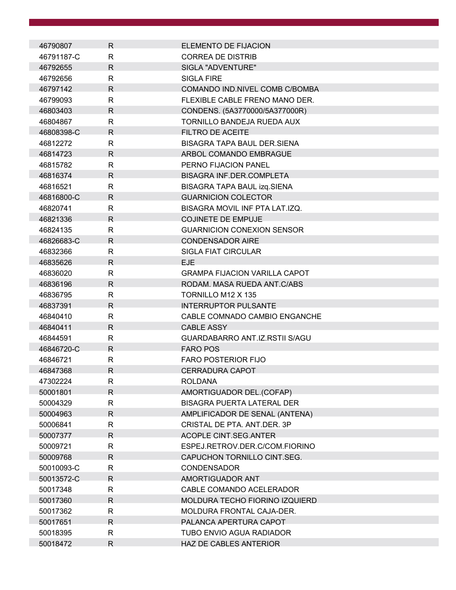| R.<br>ELEMENTO DE FIJACION<br>46790807<br>46791187-C<br>R<br><b>CORREA DE DISTRIB</b><br>R<br>46792655<br>SIGLA "ADVENTURE"<br>R.<br><b>SIGLA FIRE</b><br>46792656<br>R.<br>46797142<br>COMANDO IND.NIVEL COMB C/BOMBA<br>R<br>FLEXIBLE CABLE FRENO MANO DER.<br>46799093<br>R.<br>46803403<br>CONDENS. (5A3770000/5A377000R)<br>$\mathsf{R}$<br>TORNILLO BANDEJA RUEDA AUX<br>46804867<br>R<br>FILTRO DE ACEITE<br>46808398-C<br>46812272<br>R<br>BISAGRA TAPA BAUL DER SIENA<br>R.<br>46814723<br>ARBOL COMANDO EMBRAGUE<br>46815782<br>R<br>PERNO FIJACION PANEL<br>R.<br>46816374<br><b>BISAGRA INF.DER.COMPLETA</b><br>46816521<br>R<br>BISAGRA TAPA BAUL izq.SIENA<br>46816800-C<br>R.<br><b>GUARNICION COLECTOR</b><br>R.<br>BISAGRA MOVIL INF PTA LAT.IZQ.<br>46820741<br>46821336<br>R<br><b>COJINETE DE EMPUJE</b><br>46824135<br>R<br><b>GUARNICION CONEXION SENSOR</b><br>46826683-C<br>R.<br><b>CONDENSADOR AIRE</b><br>$\mathsf{R}$<br><b>SIGLA FIAT CIRCULAR</b><br>46832366<br>46835626<br>R<br>EJE.<br><b>GRAMPA FIJACION VARILLA CAPOT</b><br>46836020<br>R<br>R<br>RODAM. MASA RUEDA ANT.C/ABS<br>46836196<br>R<br>TORNILLO M12 X 135<br>46836795<br>46837391<br>R<br><b>INTERRUPTOR PULSANTE</b><br>46840410<br>R<br>CABLE COMNADO CAMBIO ENGANCHE<br>46840411<br>R.<br><b>CABLE ASSY</b><br>GUARDABARRO ANT.IZ.RSTII S/AGU<br>46844591<br>R<br>46846720-C<br>R.<br><b>FARO POS</b><br>$\mathsf{R}$<br>46846721<br><b>FARO POSTERIOR FIJO</b><br>R<br>46847368<br><b>CERRADURA CAPOT</b><br>R<br><b>ROLDANA</b><br>47302224<br>$\mathsf{R}$<br>AMORTIGUADOR DEL.(COFAP)<br>50001801<br><b>BISAGRA PUERTA LATERAL DER</b><br>50004329<br>R<br>R.<br>AMPLIFICADOR DE SENAL (ANTENA)<br>50004963<br>CRISTAL DE PTA. ANT.DER. 3P<br>50006841<br>R<br>50007377<br>R.<br><b>ACOPLE CINT.SEG.ANTER</b><br>ESPEJ.RETROV.DER.C/COM.FIORINO<br>50009721<br>R<br>R.<br>CAPUCHON TORNILLO CINT.SEG.<br>50009768<br>50010093-C<br>R<br><b>CONDENSADOR</b><br>50013572-C<br>R<br>AMORTIGUADOR ANT<br>50017348<br>R<br>CABLE COMANDO ACELERADOR<br>MOLDURA TECHO FIORINO IZQUIERD<br>50017360<br>R<br>50017362<br>R<br>MOLDURA FRONTAL CAJA-DER.<br>50017651<br>R.<br>PALANCA APERTURA CAPOT<br>R<br><b>TUBO ENVIO AGUA RADIADOR</b><br>50018395<br>50018472<br>R<br>HAZ DE CABLES ANTERIOR |  |  |
|--------------------------------------------------------------------------------------------------------------------------------------------------------------------------------------------------------------------------------------------------------------------------------------------------------------------------------------------------------------------------------------------------------------------------------------------------------------------------------------------------------------------------------------------------------------------------------------------------------------------------------------------------------------------------------------------------------------------------------------------------------------------------------------------------------------------------------------------------------------------------------------------------------------------------------------------------------------------------------------------------------------------------------------------------------------------------------------------------------------------------------------------------------------------------------------------------------------------------------------------------------------------------------------------------------------------------------------------------------------------------------------------------------------------------------------------------------------------------------------------------------------------------------------------------------------------------------------------------------------------------------------------------------------------------------------------------------------------------------------------------------------------------------------------------------------------------------------------------------------------------------------------------------------------------------------------------------------------------------------------------------------------------------------------------------------------------------------------------------------------------------------------------------------------------------------------------------------------------------------------------------------------------------------------------|--|--|
|                                                                                                                                                                                                                                                                                                                                                                                                                                                                                                                                                                                                                                                                                                                                                                                                                                                                                                                                                                                                                                                                                                                                                                                                                                                                                                                                                                                                                                                                                                                                                                                                                                                                                                                                                                                                                                                                                                                                                                                                                                                                                                                                                                                                                                                                                                  |  |  |
|                                                                                                                                                                                                                                                                                                                                                                                                                                                                                                                                                                                                                                                                                                                                                                                                                                                                                                                                                                                                                                                                                                                                                                                                                                                                                                                                                                                                                                                                                                                                                                                                                                                                                                                                                                                                                                                                                                                                                                                                                                                                                                                                                                                                                                                                                                  |  |  |
|                                                                                                                                                                                                                                                                                                                                                                                                                                                                                                                                                                                                                                                                                                                                                                                                                                                                                                                                                                                                                                                                                                                                                                                                                                                                                                                                                                                                                                                                                                                                                                                                                                                                                                                                                                                                                                                                                                                                                                                                                                                                                                                                                                                                                                                                                                  |  |  |
|                                                                                                                                                                                                                                                                                                                                                                                                                                                                                                                                                                                                                                                                                                                                                                                                                                                                                                                                                                                                                                                                                                                                                                                                                                                                                                                                                                                                                                                                                                                                                                                                                                                                                                                                                                                                                                                                                                                                                                                                                                                                                                                                                                                                                                                                                                  |  |  |
|                                                                                                                                                                                                                                                                                                                                                                                                                                                                                                                                                                                                                                                                                                                                                                                                                                                                                                                                                                                                                                                                                                                                                                                                                                                                                                                                                                                                                                                                                                                                                                                                                                                                                                                                                                                                                                                                                                                                                                                                                                                                                                                                                                                                                                                                                                  |  |  |
|                                                                                                                                                                                                                                                                                                                                                                                                                                                                                                                                                                                                                                                                                                                                                                                                                                                                                                                                                                                                                                                                                                                                                                                                                                                                                                                                                                                                                                                                                                                                                                                                                                                                                                                                                                                                                                                                                                                                                                                                                                                                                                                                                                                                                                                                                                  |  |  |
|                                                                                                                                                                                                                                                                                                                                                                                                                                                                                                                                                                                                                                                                                                                                                                                                                                                                                                                                                                                                                                                                                                                                                                                                                                                                                                                                                                                                                                                                                                                                                                                                                                                                                                                                                                                                                                                                                                                                                                                                                                                                                                                                                                                                                                                                                                  |  |  |
|                                                                                                                                                                                                                                                                                                                                                                                                                                                                                                                                                                                                                                                                                                                                                                                                                                                                                                                                                                                                                                                                                                                                                                                                                                                                                                                                                                                                                                                                                                                                                                                                                                                                                                                                                                                                                                                                                                                                                                                                                                                                                                                                                                                                                                                                                                  |  |  |
|                                                                                                                                                                                                                                                                                                                                                                                                                                                                                                                                                                                                                                                                                                                                                                                                                                                                                                                                                                                                                                                                                                                                                                                                                                                                                                                                                                                                                                                                                                                                                                                                                                                                                                                                                                                                                                                                                                                                                                                                                                                                                                                                                                                                                                                                                                  |  |  |
|                                                                                                                                                                                                                                                                                                                                                                                                                                                                                                                                                                                                                                                                                                                                                                                                                                                                                                                                                                                                                                                                                                                                                                                                                                                                                                                                                                                                                                                                                                                                                                                                                                                                                                                                                                                                                                                                                                                                                                                                                                                                                                                                                                                                                                                                                                  |  |  |
|                                                                                                                                                                                                                                                                                                                                                                                                                                                                                                                                                                                                                                                                                                                                                                                                                                                                                                                                                                                                                                                                                                                                                                                                                                                                                                                                                                                                                                                                                                                                                                                                                                                                                                                                                                                                                                                                                                                                                                                                                                                                                                                                                                                                                                                                                                  |  |  |
|                                                                                                                                                                                                                                                                                                                                                                                                                                                                                                                                                                                                                                                                                                                                                                                                                                                                                                                                                                                                                                                                                                                                                                                                                                                                                                                                                                                                                                                                                                                                                                                                                                                                                                                                                                                                                                                                                                                                                                                                                                                                                                                                                                                                                                                                                                  |  |  |
|                                                                                                                                                                                                                                                                                                                                                                                                                                                                                                                                                                                                                                                                                                                                                                                                                                                                                                                                                                                                                                                                                                                                                                                                                                                                                                                                                                                                                                                                                                                                                                                                                                                                                                                                                                                                                                                                                                                                                                                                                                                                                                                                                                                                                                                                                                  |  |  |
|                                                                                                                                                                                                                                                                                                                                                                                                                                                                                                                                                                                                                                                                                                                                                                                                                                                                                                                                                                                                                                                                                                                                                                                                                                                                                                                                                                                                                                                                                                                                                                                                                                                                                                                                                                                                                                                                                                                                                                                                                                                                                                                                                                                                                                                                                                  |  |  |
|                                                                                                                                                                                                                                                                                                                                                                                                                                                                                                                                                                                                                                                                                                                                                                                                                                                                                                                                                                                                                                                                                                                                                                                                                                                                                                                                                                                                                                                                                                                                                                                                                                                                                                                                                                                                                                                                                                                                                                                                                                                                                                                                                                                                                                                                                                  |  |  |
|                                                                                                                                                                                                                                                                                                                                                                                                                                                                                                                                                                                                                                                                                                                                                                                                                                                                                                                                                                                                                                                                                                                                                                                                                                                                                                                                                                                                                                                                                                                                                                                                                                                                                                                                                                                                                                                                                                                                                                                                                                                                                                                                                                                                                                                                                                  |  |  |
|                                                                                                                                                                                                                                                                                                                                                                                                                                                                                                                                                                                                                                                                                                                                                                                                                                                                                                                                                                                                                                                                                                                                                                                                                                                                                                                                                                                                                                                                                                                                                                                                                                                                                                                                                                                                                                                                                                                                                                                                                                                                                                                                                                                                                                                                                                  |  |  |
|                                                                                                                                                                                                                                                                                                                                                                                                                                                                                                                                                                                                                                                                                                                                                                                                                                                                                                                                                                                                                                                                                                                                                                                                                                                                                                                                                                                                                                                                                                                                                                                                                                                                                                                                                                                                                                                                                                                                                                                                                                                                                                                                                                                                                                                                                                  |  |  |
|                                                                                                                                                                                                                                                                                                                                                                                                                                                                                                                                                                                                                                                                                                                                                                                                                                                                                                                                                                                                                                                                                                                                                                                                                                                                                                                                                                                                                                                                                                                                                                                                                                                                                                                                                                                                                                                                                                                                                                                                                                                                                                                                                                                                                                                                                                  |  |  |
|                                                                                                                                                                                                                                                                                                                                                                                                                                                                                                                                                                                                                                                                                                                                                                                                                                                                                                                                                                                                                                                                                                                                                                                                                                                                                                                                                                                                                                                                                                                                                                                                                                                                                                                                                                                                                                                                                                                                                                                                                                                                                                                                                                                                                                                                                                  |  |  |
|                                                                                                                                                                                                                                                                                                                                                                                                                                                                                                                                                                                                                                                                                                                                                                                                                                                                                                                                                                                                                                                                                                                                                                                                                                                                                                                                                                                                                                                                                                                                                                                                                                                                                                                                                                                                                                                                                                                                                                                                                                                                                                                                                                                                                                                                                                  |  |  |
|                                                                                                                                                                                                                                                                                                                                                                                                                                                                                                                                                                                                                                                                                                                                                                                                                                                                                                                                                                                                                                                                                                                                                                                                                                                                                                                                                                                                                                                                                                                                                                                                                                                                                                                                                                                                                                                                                                                                                                                                                                                                                                                                                                                                                                                                                                  |  |  |
|                                                                                                                                                                                                                                                                                                                                                                                                                                                                                                                                                                                                                                                                                                                                                                                                                                                                                                                                                                                                                                                                                                                                                                                                                                                                                                                                                                                                                                                                                                                                                                                                                                                                                                                                                                                                                                                                                                                                                                                                                                                                                                                                                                                                                                                                                                  |  |  |
|                                                                                                                                                                                                                                                                                                                                                                                                                                                                                                                                                                                                                                                                                                                                                                                                                                                                                                                                                                                                                                                                                                                                                                                                                                                                                                                                                                                                                                                                                                                                                                                                                                                                                                                                                                                                                                                                                                                                                                                                                                                                                                                                                                                                                                                                                                  |  |  |
|                                                                                                                                                                                                                                                                                                                                                                                                                                                                                                                                                                                                                                                                                                                                                                                                                                                                                                                                                                                                                                                                                                                                                                                                                                                                                                                                                                                                                                                                                                                                                                                                                                                                                                                                                                                                                                                                                                                                                                                                                                                                                                                                                                                                                                                                                                  |  |  |
|                                                                                                                                                                                                                                                                                                                                                                                                                                                                                                                                                                                                                                                                                                                                                                                                                                                                                                                                                                                                                                                                                                                                                                                                                                                                                                                                                                                                                                                                                                                                                                                                                                                                                                                                                                                                                                                                                                                                                                                                                                                                                                                                                                                                                                                                                                  |  |  |
|                                                                                                                                                                                                                                                                                                                                                                                                                                                                                                                                                                                                                                                                                                                                                                                                                                                                                                                                                                                                                                                                                                                                                                                                                                                                                                                                                                                                                                                                                                                                                                                                                                                                                                                                                                                                                                                                                                                                                                                                                                                                                                                                                                                                                                                                                                  |  |  |
|                                                                                                                                                                                                                                                                                                                                                                                                                                                                                                                                                                                                                                                                                                                                                                                                                                                                                                                                                                                                                                                                                                                                                                                                                                                                                                                                                                                                                                                                                                                                                                                                                                                                                                                                                                                                                                                                                                                                                                                                                                                                                                                                                                                                                                                                                                  |  |  |
|                                                                                                                                                                                                                                                                                                                                                                                                                                                                                                                                                                                                                                                                                                                                                                                                                                                                                                                                                                                                                                                                                                                                                                                                                                                                                                                                                                                                                                                                                                                                                                                                                                                                                                                                                                                                                                                                                                                                                                                                                                                                                                                                                                                                                                                                                                  |  |  |
|                                                                                                                                                                                                                                                                                                                                                                                                                                                                                                                                                                                                                                                                                                                                                                                                                                                                                                                                                                                                                                                                                                                                                                                                                                                                                                                                                                                                                                                                                                                                                                                                                                                                                                                                                                                                                                                                                                                                                                                                                                                                                                                                                                                                                                                                                                  |  |  |
|                                                                                                                                                                                                                                                                                                                                                                                                                                                                                                                                                                                                                                                                                                                                                                                                                                                                                                                                                                                                                                                                                                                                                                                                                                                                                                                                                                                                                                                                                                                                                                                                                                                                                                                                                                                                                                                                                                                                                                                                                                                                                                                                                                                                                                                                                                  |  |  |
|                                                                                                                                                                                                                                                                                                                                                                                                                                                                                                                                                                                                                                                                                                                                                                                                                                                                                                                                                                                                                                                                                                                                                                                                                                                                                                                                                                                                                                                                                                                                                                                                                                                                                                                                                                                                                                                                                                                                                                                                                                                                                                                                                                                                                                                                                                  |  |  |
|                                                                                                                                                                                                                                                                                                                                                                                                                                                                                                                                                                                                                                                                                                                                                                                                                                                                                                                                                                                                                                                                                                                                                                                                                                                                                                                                                                                                                                                                                                                                                                                                                                                                                                                                                                                                                                                                                                                                                                                                                                                                                                                                                                                                                                                                                                  |  |  |
|                                                                                                                                                                                                                                                                                                                                                                                                                                                                                                                                                                                                                                                                                                                                                                                                                                                                                                                                                                                                                                                                                                                                                                                                                                                                                                                                                                                                                                                                                                                                                                                                                                                                                                                                                                                                                                                                                                                                                                                                                                                                                                                                                                                                                                                                                                  |  |  |
|                                                                                                                                                                                                                                                                                                                                                                                                                                                                                                                                                                                                                                                                                                                                                                                                                                                                                                                                                                                                                                                                                                                                                                                                                                                                                                                                                                                                                                                                                                                                                                                                                                                                                                                                                                                                                                                                                                                                                                                                                                                                                                                                                                                                                                                                                                  |  |  |
|                                                                                                                                                                                                                                                                                                                                                                                                                                                                                                                                                                                                                                                                                                                                                                                                                                                                                                                                                                                                                                                                                                                                                                                                                                                                                                                                                                                                                                                                                                                                                                                                                                                                                                                                                                                                                                                                                                                                                                                                                                                                                                                                                                                                                                                                                                  |  |  |
|                                                                                                                                                                                                                                                                                                                                                                                                                                                                                                                                                                                                                                                                                                                                                                                                                                                                                                                                                                                                                                                                                                                                                                                                                                                                                                                                                                                                                                                                                                                                                                                                                                                                                                                                                                                                                                                                                                                                                                                                                                                                                                                                                                                                                                                                                                  |  |  |
|                                                                                                                                                                                                                                                                                                                                                                                                                                                                                                                                                                                                                                                                                                                                                                                                                                                                                                                                                                                                                                                                                                                                                                                                                                                                                                                                                                                                                                                                                                                                                                                                                                                                                                                                                                                                                                                                                                                                                                                                                                                                                                                                                                                                                                                                                                  |  |  |
|                                                                                                                                                                                                                                                                                                                                                                                                                                                                                                                                                                                                                                                                                                                                                                                                                                                                                                                                                                                                                                                                                                                                                                                                                                                                                                                                                                                                                                                                                                                                                                                                                                                                                                                                                                                                                                                                                                                                                                                                                                                                                                                                                                                                                                                                                                  |  |  |
|                                                                                                                                                                                                                                                                                                                                                                                                                                                                                                                                                                                                                                                                                                                                                                                                                                                                                                                                                                                                                                                                                                                                                                                                                                                                                                                                                                                                                                                                                                                                                                                                                                                                                                                                                                                                                                                                                                                                                                                                                                                                                                                                                                                                                                                                                                  |  |  |
|                                                                                                                                                                                                                                                                                                                                                                                                                                                                                                                                                                                                                                                                                                                                                                                                                                                                                                                                                                                                                                                                                                                                                                                                                                                                                                                                                                                                                                                                                                                                                                                                                                                                                                                                                                                                                                                                                                                                                                                                                                                                                                                                                                                                                                                                                                  |  |  |
|                                                                                                                                                                                                                                                                                                                                                                                                                                                                                                                                                                                                                                                                                                                                                                                                                                                                                                                                                                                                                                                                                                                                                                                                                                                                                                                                                                                                                                                                                                                                                                                                                                                                                                                                                                                                                                                                                                                                                                                                                                                                                                                                                                                                                                                                                                  |  |  |
|                                                                                                                                                                                                                                                                                                                                                                                                                                                                                                                                                                                                                                                                                                                                                                                                                                                                                                                                                                                                                                                                                                                                                                                                                                                                                                                                                                                                                                                                                                                                                                                                                                                                                                                                                                                                                                                                                                                                                                                                                                                                                                                                                                                                                                                                                                  |  |  |
|                                                                                                                                                                                                                                                                                                                                                                                                                                                                                                                                                                                                                                                                                                                                                                                                                                                                                                                                                                                                                                                                                                                                                                                                                                                                                                                                                                                                                                                                                                                                                                                                                                                                                                                                                                                                                                                                                                                                                                                                                                                                                                                                                                                                                                                                                                  |  |  |
|                                                                                                                                                                                                                                                                                                                                                                                                                                                                                                                                                                                                                                                                                                                                                                                                                                                                                                                                                                                                                                                                                                                                                                                                                                                                                                                                                                                                                                                                                                                                                                                                                                                                                                                                                                                                                                                                                                                                                                                                                                                                                                                                                                                                                                                                                                  |  |  |
|                                                                                                                                                                                                                                                                                                                                                                                                                                                                                                                                                                                                                                                                                                                                                                                                                                                                                                                                                                                                                                                                                                                                                                                                                                                                                                                                                                                                                                                                                                                                                                                                                                                                                                                                                                                                                                                                                                                                                                                                                                                                                                                                                                                                                                                                                                  |  |  |
|                                                                                                                                                                                                                                                                                                                                                                                                                                                                                                                                                                                                                                                                                                                                                                                                                                                                                                                                                                                                                                                                                                                                                                                                                                                                                                                                                                                                                                                                                                                                                                                                                                                                                                                                                                                                                                                                                                                                                                                                                                                                                                                                                                                                                                                                                                  |  |  |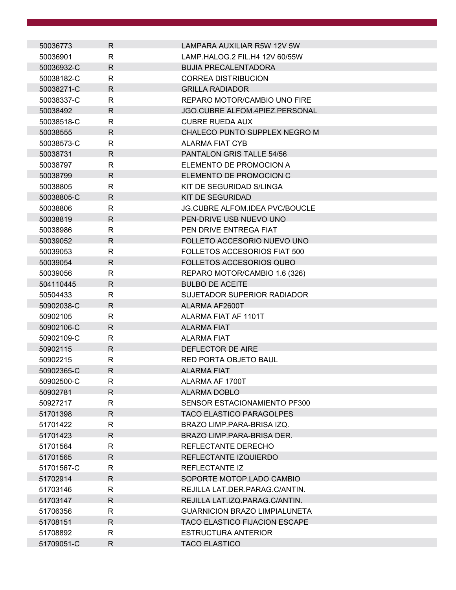| 50036773   | R.           | LAMPARA AUXILIAR R5W 12V 5W           |
|------------|--------------|---------------------------------------|
| 50036901   | R            | LAMP.HALOG.2 FIL.H4 12V 60/55W        |
| 50036932-C | R            | <b>BUJIA PRECALENTADORA</b>           |
| 50038182-C | $\mathsf{R}$ | <b>CORREA DISTRIBUCION</b>            |
| 50038271-C | R.           | <b>GRILLA RADIADOR</b>                |
| 50038337-C | R            | REPARO MOTOR/CAMBIO UNO FIRE          |
| 50038492   | R            | <b>JGO.CUBRE ALFOM.4PIEZ.PERSONAL</b> |
| 50038518-C | R            | <b>CUBRE RUEDA AUX</b>                |
| 50038555   | R.           | CHALECO PUNTO SUPPLEX NEGRO M         |
| 50038573-C | R            | <b>ALARMA FIAT CYB</b>                |
| 50038731   | R.           | <b>PANTALON GRIS TALLE 54/56</b>      |
| 50038797   | R            | ELEMENTO DE PROMOCION A               |
| 50038799   | R.           | ELEMENTO DE PROMOCION C               |
| 50038805   | R            | KIT DE SEGURIDAD S/LINGA              |
| 50038805-C | R            | <b>KIT DE SEGURIDAD</b>               |
| 50038806   | R            | <b>JG.CUBRE ALFOM.IDEA PVC/BOUCLE</b> |
| 50038819   | R.           | PEN-DRIVE USB NUEVO UNO               |
| 50038986   | R            | PEN DRIVE ENTREGA FIAT                |
| 50039052   | R            | FOLLETO ACCESORIO NUEVO UNO           |
| 50039053   | R            | FOLLETOS ACCESORIOS FIAT 500          |
| 50039054   | R.           | FOLLETOS ACCESORIOS QUBO              |
| 50039056   | R            | REPARO MOTOR/CAMBIO 1.6 (326)         |
| 504110445  | R.           | <b>BULBO DE ACEITE</b>                |
| 50504433   | R            | SUJETADOR SUPERIOR RADIADOR           |
| 50902038-C | R.           | ALARMA AF2600T                        |
| 50902105   | R            | ALARMA FIAT AF 1101T                  |
| 50902106-C | R            | <b>ALARMA FIAT</b>                    |
| 50902109-C | R            | <b>ALARMA FIAT</b>                    |
| 50902115   | R.           | DEFLECTOR DE AIRE                     |
| 50902215   | R            | RED PORTA OBJETO BAUL                 |
| 50902365-C | R            | <b>ALARMA FIAT</b>                    |
| 50902500-C | R            | ALARMA AF 1700T                       |
| 50902781   | R.           | <b>ALARMA DOBLO</b>                   |
| 50927217   | R            | <b>SENSOR ESTACIONAMIENTO PF300</b>   |
| 51701398   | R.           | <b>TACO ELASTICO PARAGOLPES</b>       |
| 51701422   | $\mathsf{R}$ | BRAZO LIMP.PARA-BRISA IZQ.            |
| 51701423   | R.           | BRAZO LIMP.PARA-BRISA DER.            |
| 51701564   | R.           | REFLECTANTE DERECHO                   |
| 51701565   | R.           | REFLECTANTE IZQUIERDO                 |
| 51701567-C | R            | REFLECTANTE IZ                        |
| 51702914   | R.           | SOPORTE MOTOP.LADO CAMBIO             |
| 51703146   | R            | REJILLA LAT.DER.PARAG.C/ANTIN.        |
| 51703147   | R            | REJILLA LAT.IZQ.PARAG.C/ANTIN.        |
| 51706356   | R            | <b>GUARNICION BRAZO LIMPIALUNETA</b>  |
| 51708151   | R.           | <b>TACO ELASTICO FIJACION ESCAPE</b>  |
| 51708892   | R.           | <b>ESTRUCTURA ANTERIOR</b>            |
| 51709051-C | $\mathsf{R}$ | <b>TACO ELASTICO</b>                  |
|            |              |                                       |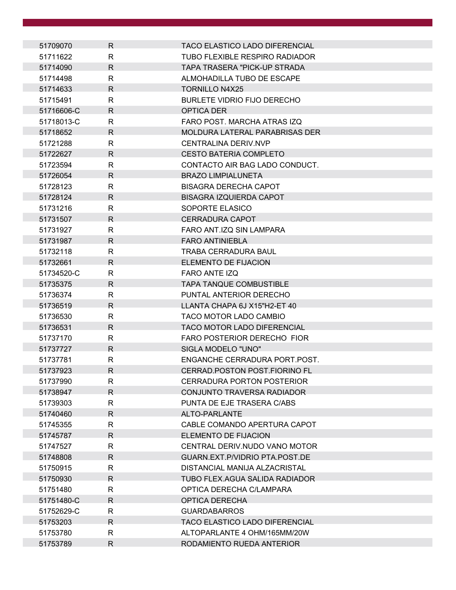| 51709070   | R.           | <b>TACO ELASTICO LADO DIFERENCIAL</b> |
|------------|--------------|---------------------------------------|
| 51711622   | R            | TUBO FLEXIBLE RESPIRO RADIADOR        |
| 51714090   | R            | TAPA TRASERA "PICK-UP STRADA          |
| 51714498   | $\mathsf{R}$ | ALMOHADILLA TUBO DE ESCAPE            |
| 51714633   | R.           | TORNILLO N4X25                        |
| 51715491   | R            | <b>BURLETE VIDRIO FIJO DERECHO</b>    |
| 51716606-C | R.           | OPTICA DER                            |
| 51718013-C | $\mathsf{R}$ | FARO POST, MARCHA ATRAS IZQ           |
| 51718652   | R            | MOLDURA LATERAL PARABRISAS DER        |
| 51721288   | R            | <b>CENTRALINA DERIV.NVP</b>           |
| 51722627   | $\mathsf{R}$ | <b>CESTO BATERIA COMPLETO</b>         |
| 51723594   | R            | CONTACTO AIR BAG LADO CONDUCT.        |
| 51726054   | R            | <b>BRAZO LIMPIALUNETA</b>             |
| 51728123   | $\mathsf{R}$ | <b>BISAGRA DERECHA CAPOT</b>          |
| 51728124   | R            | <b>BISAGRA IZQUIERDA CAPOT</b>        |
| 51731216   | R            | SOPORTE ELASICO                       |
| 51731507   | R            | <b>CERRADURA CAPOT</b>                |
| 51731927   | R            | FARO ANT.IZQ SIN LAMPARA              |
| 51731987   | R.           | <b>FARO ANTINIEBLA</b>                |
| 51732118   | R            | <b>TRABA CERRADURA BAUL</b>           |
| 51732661   | R            | ELEMENTO DE FIJACION                  |
| 51734520-C | R            | <b>FARO ANTE IZQ</b>                  |
| 51735375   | R            | <b>TAPA TANQUE COMBUSTIBLE</b>        |
| 51736374   | R            | PUNTAL ANTERIOR DERECHO               |
| 51736519   | R            | LLANTA CHAPA 6J X15"H2-ET 40          |
| 51736530   | R            | TACO MOTOR LADO CAMBIO                |
| 51736531   | R            | <b>TACO MOTOR LADO DIFERENCIAL</b>    |
| 51737170   | R            | FARO POSTERIOR DERECHO FIOR           |
| 51737727   | R            | SIGLA MODELO "UNO"                    |
| 51737781   | $\mathsf{R}$ | ENGANCHE CERRADURA PORT. POST.        |
| 51737923   | R            | <b>CERRAD.POSTON POST.FIORINO FL</b>  |
| 51737990   | R            | <b>CERRADURA PORTON POSTERIOR</b>     |
| 51738947   | $\mathsf{R}$ | CONJUNTO TRAVERSA RADIADOR            |
| 51739303   | R            | PUNTA DE EJE TRASERA C/ABS            |
| 51740460   | $\mathsf{R}$ | ALTO-PARLANTE                         |
| 51745355   | R            | CABLE COMANDO APERTURA CAPOT          |
| 51745787   | R            | ELEMENTO DE FIJACION                  |
| 51747527   | $\mathsf{R}$ | CENTRAL DERIV.NUDO VANO MOTOR         |
| 51748808   | R            | GUARN.EXT.P/VIDRIO PTA.POST.DE        |
| 51750915   | $\mathsf{R}$ | DISTANCIAL MANIJA ALZACRISTAL         |
| 51750930   | R            | TUBO FLEX.AGUA SALIDA RADIADOR        |
| 51751480   | R            | OPTICA DERECHA C/LAMPARA              |
| 51751480-C | R            | <b>OPTICA DERECHA</b>                 |
| 51752629-C | $\mathsf{R}$ | <b>GUARDABARROS</b>                   |
| 51753203   | $\mathsf{R}$ | <b>TACO ELASTICO LADO DIFERENCIAL</b> |
| 51753780   | R            | ALTOPARLANTE 4 OHM/165MM/20W          |
| 51753789   | R            | RODAMIENTO RUEDA ANTERIOR             |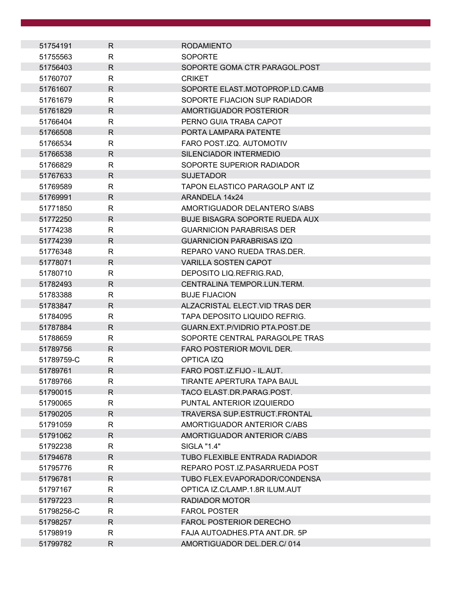| 51754191   | R.                 | <b>RODAMIENTO</b>                     |
|------------|--------------------|---------------------------------------|
| 51755563   | R                  | <b>SOPORTE</b>                        |
| 51756403   | $\mathsf{R}$       | SOPORTE GOMA CTR PARAGOL.POST         |
| 51760707   | $\mathsf{R}$       | <b>CRIKET</b>                         |
| 51761607   | R.                 | SOPORTE ELAST.MOTOPROP.LD.CAMB        |
| 51761679   | R                  | SOPORTE FIJACION SUP RADIADOR         |
| 51761829   | $\mathsf{R}$       | AMORTIGUADOR POSTERIOR                |
| 51766404   | R                  | PERNO GUIA TRABA CAPOT                |
| 51766508   | $\mathsf{R}$       | PORTA LAMPARA PATENTE                 |
| 51766534   | R                  | FARO POST.IZQ. AUTOMOTIV              |
| 51766538   | $\mathsf{R}$       | SILENCIADOR INTERMEDIO                |
| 51766829   | R                  | SOPORTE SUPERIOR RADIADOR             |
| 51767633   | $\mathsf{R}$       | <b>SUJETADOR</b>                      |
| 51769589   | R                  | TAPON ELASTICO PARAGOLP ANT IZ        |
| 51769991   | R                  | ARANDELA 14x24                        |
| 51771850   | R                  | AMORTIGUADOR DELANTERO S/ABS          |
| 51772250   | R                  | <b>BUJE BISAGRA SOPORTE RUEDA AUX</b> |
| 51774238   | R                  | <b>GUARNICION PARABRISAS DER</b>      |
| 51774239   | $\mathsf{R}$       | <b>GUARNICION PARABRISAS IZQ</b>      |
| 51776348   | R                  | REPARO VANO RUEDA TRAS.DER.           |
| 51778071   | $\mathsf{R}$       | <b>VARILLA SOSTEN CAPOT</b>           |
| 51780710   | R                  | DEPOSITO LIQ.REFRIG.RAD,              |
| 51782493   | $\mathsf{R}$       | CENTRALINA TEMPOR.LUN.TERM.           |
| 51783388   | R                  | <b>BUJE FIJACION</b>                  |
| 51783847   | $\mathsf{R}$       | ALZACRISTAL ELECT.VID TRAS DER        |
| 51784095   | R                  | TAPA DEPOSITO LIQUIDO REFRIG.         |
| 51787884   | $\mathsf{R}$       | GUARN.EXT.P/VIDRIO PTA.POST.DE        |
| 51788659   | R                  | SOPORTE CENTRAL PARAGOLPE TRAS        |
| 51789756   | R                  | <b>FARO POSTERIOR MOVIL DER.</b>      |
| 51789759-C | R                  | OPTICA IZQ                            |
| 51789761   | $\mathsf{R}% _{T}$ | FARO POST.IZ.FIJO - IL.AUT.           |
| 51789766   | $\mathsf{R}$       | TIRANTE APERTURA TAPA BAUL            |
| 51790015   | $\mathsf{R}$       | TACO ELAST.DR.PARAG.POST.             |
| 51790065   | R                  | PUNTAL ANTERIOR IZQUIERDO             |
| 51790205   | $\mathsf{R}$       | <b>TRAVERSA SUP.ESTRUCT.FRONTAL</b>   |
| 51791059   | $\mathsf{R}$       | AMORTIGUADOR ANTERIOR C/ABS           |
| 51791062   | $\mathsf{R}$       | AMORTIGUADOR ANTERIOR C/ABS           |
| 51792238   | $\mathsf{R}$       | SIGLA "1.4"                           |
| 51794678   | $\mathsf{R}$       | TUBO FLEXIBLE ENTRADA RADIADOR        |
| 51795776   | $\mathsf{R}$       | REPARO POST.IZ.PASARRUEDA POST        |
| 51796781   | R.                 | TUBO FLEX.EVAPORADOR/CONDENSA         |
| 51797167   | R                  | OPTICA IZ.C/LAMP.1.8R ILUM.AUT        |
| 51797223   | $\mathsf{R}$       | RADIADOR MOTOR                        |
| 51798256-C | $\mathsf{R}$       | <b>FAROL POSTER</b>                   |
| 51798257   | $\mathsf{R}$       | <b>FAROL POSTERIOR DERECHO</b>        |
| 51798919   | $\mathsf{R}$       | FAJA AUTOADHES.PTA ANT.DR. 5P         |
| 51799782   | $\mathsf{R}$       | AMORTIGUADOR DEL.DER.C/014            |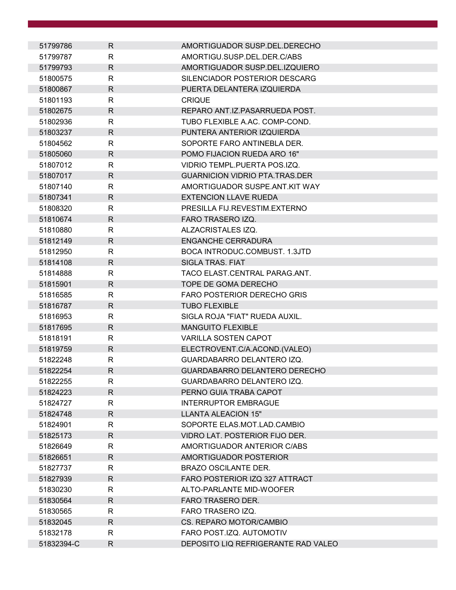| 51799786   | R.           | AMORTIGUADOR SUSP.DEL.DERECHO         |
|------------|--------------|---------------------------------------|
| 51799787   | R            | AMORTIGU.SUSP.DEL.DER.C/ABS           |
| 51799793   | R            | AMORTIGUADOR SUSP.DEL.IZQUIERO        |
| 51800575   | $\mathsf{R}$ | SILENCIADOR POSTERIOR DESCARG         |
| 51800867   | R            | PUERTA DELANTERA IZQUIERDA            |
| 51801193   | R            | <b>CRIQUE</b>                         |
| 51802675   | R.           | REPARO ANT.IZ.PASARRUEDA POST.        |
| 51802936   | R            | TUBO FLEXIBLE A.AC. COMP-COND.        |
| 51803237   | R            | PUNTERA ANTERIOR IZQUIERDA            |
| 51804562   | R            | SOPORTE FARO ANTINEBLA DER.           |
| 51805060   | $\mathsf{R}$ | POMO FIJACION RUEDA ARO 16"           |
| 51807012   | R            | VIDRIO TEMPL.PUERTA POS.IZQ.          |
| 51807017   | R            | <b>GUARNICION VIDRIO PTA.TRAS.DER</b> |
| 51807140   | R            | AMORTIGUADOR SUSPE.ANT.KIT WAY        |
| 51807341   | R            | <b>EXTENCION LLAVE RUEDA</b>          |
| 51808320   | R            | PRESILLA FIJ.REVESTIM.EXTERNO         |
| 51810674   | R            | FARO TRASERO IZQ.                     |
| 51810880   | R            | ALZACRISTALES IZQ.                    |
| 51812149   | R            | <b>ENGANCHE CERRADURA</b>             |
| 51812950   | R            | BOCA INTRODUC.COMBUST, 1.3JTD         |
| 51814108   | $\mathsf{R}$ | <b>SIGLA TRAS. FIAT</b>               |
| 51814888   | R            | TACO ELAST.CENTRAL PARAG.ANT.         |
| 51815901   | R            | TOPE DE GOMA DERECHO                  |
| 51816585   | R            | <b>FARO POSTERIOR DERECHO GRIS</b>    |
| 51816787   | R            | <b>TUBO FLEXIBLE</b>                  |
| 51816953   | R            | SIGLA ROJA "FIAT" RUEDA AUXIL.        |
| 51817695   | R            | <b>MANGUITO FLEXIBLE</b>              |
| 51818191   | R            | <b>VARILLA SOSTEN CAPOT</b>           |
| 51819759   | R.           | ELECTROVENT.C/A.ACOND.(VALEO)         |
| 51822248   | $\mathsf{R}$ | GUARDABARRO DELANTERO IZQ.            |
| 51822254   | R            | GUARDABARRO DELANTERO DERECHO         |
| 51822255   | R.           | GUARDABARRO DELANTERO IZQ.            |
| 51824223   | $\mathsf{R}$ | PERNO GUIA TRABA CAPOT                |
| 51824727   | R.           | <b>INTERRUPTOR EMBRAGUE</b>           |
| 51824748   | $\mathsf{R}$ | <b>LLANTA ALEACION 15"</b>            |
| 51824901   | R            | SOPORTE ELAS.MOT.LAD.CAMBIO           |
| 51825173   | R            | VIDRO LAT. POSTERIOR FIJO DER.        |
| 51826649   | R            | AMORTIGUADOR ANTERIOR C/ABS           |
| 51826651   | R            | AMORTIGUADOR POSTERIOR                |
| 51827737   | R            | <b>BRAZO OSCILANTE DER.</b>           |
| 51827939   | R            | FARO POSTERIOR IZQ 327 ATTRACT        |
| 51830230   | R            | ALTO-PARLANTE MID-WOOFER              |
| 51830564   | R.           | <b>FARO TRASERO DER.</b>              |
| 51830565   | R            | FARO TRASERO IZQ.                     |
| 51832045   | R.           | CS. REPARO MOTOR/CAMBIO               |
| 51832178   | R            | FARO POST.IZQ. AUTOMOTIV              |
| 51832394-C | $\mathsf{R}$ | DEPOSITO LIQ REFRIGERANTE RAD VALEO   |
|            |              |                                       |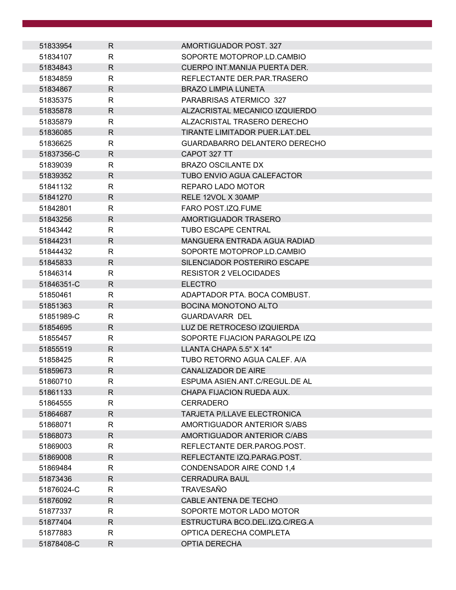| 51833954   | $\mathsf{R}$ | AMORTIGUADOR POST. 327                |
|------------|--------------|---------------------------------------|
| 51834107   | R            | SOPORTE MOTOPROP.LD.CAMBIO            |
| 51834843   | $\mathsf{R}$ | CUERPO INT. MANIJA PUERTA DER.        |
| 51834859   | $\mathsf{R}$ | REFLECTANTE DER PAR TRASERO           |
| 51834867   | $\mathsf{R}$ | <b>BRAZO LIMPIA LUNETA</b>            |
| 51835375   | R            | PARABRISAS ATERMICO 327               |
| 51835878   | $\mathsf{R}$ | ALZACRISTAL MECANICO IZQUIERDO        |
| 51835879   | $\mathsf{R}$ | ALZACRISTAL TRASERO DERECHO           |
| 51836085   | R            | <b>TIRANTE LIMITADOR PUER.LAT.DEL</b> |
| 51836625   | R            | GUARDABARRO DELANTERO DERECHO         |
| 51837356-C | $\mathsf{R}$ | CAPOT 327 TT                          |
| 51839039   | R            | <b>BRAZO OSCILANTE DX</b>             |
| 51839352   | $\mathsf{R}$ | <b>TUBO ENVIO AGUA CALEFACTOR</b>     |
| 51841132   | R            | REPARO LADO MOTOR                     |
| 51841270   | R.           | RELE 12VOL X 30AMP                    |
| 51842801   | R            | FARO POST.IZQ.FUME                    |
| 51843256   | $\mathsf{R}$ | AMORTIGUADOR TRASERO                  |
| 51843442   | $\mathsf{R}$ | <b>TUBO ESCAPE CENTRAL</b>            |
| 51844231   | R.           | MANGUERA ENTRADA AGUA RADIAD          |
| 51844432   | R            | SOPORTE MOTOPROP.LD.CAMBIO            |
| 51845833   | R.           | SILENCIADOR POSTERIRO ESCAPE          |
| 51846314   | R            | <b>RESISTOR 2 VELOCIDADES</b>         |
| 51846351-C | $\mathsf{R}$ | <b>ELECTRO</b>                        |
| 51850461   | R            | ADAPTADOR PTA. BOCA COMBUST.          |
| 51851363   | R            | <b>BOCINA MONOTONO ALTO</b>           |
| 51851989-C | R            | <b>GUARDAVARR DEL</b>                 |
| 51854695   | $\mathsf{R}$ | LUZ DE RETROCESO IZQUIERDA            |
| 51855457   | R            | SOPORTE FIJACION PARAGOLPE IZQ        |
| 51855519   | $\mathsf{R}$ | LLANTA CHAPA 5.5" X 14"               |
| 51858425   | $\mathsf{R}$ | TUBO RETORNO AGUA CALEF. A/A          |
| 51859673   | $\mathsf{R}$ | CANALIZADOR DE AIRE                   |
| 51860710   | R            | ESPUMA ASIEN.ANT.C/REGUL.DE AL        |
| 51861133   | $\mathsf{R}$ | CHAPA FIJACION RUEDA AUX.             |
| 51864555   | R            | <b>CERRADERO</b>                      |
| 51864687   | $\mathsf{R}$ | TARJETA P/LLAVE ELECTRONICA           |
| 51868071   | $\mathsf{R}$ | AMORTIGUADOR ANTERIOR S/ABS           |
| 51868073   | $\mathsf{R}$ | AMORTIGUADOR ANTERIOR C/ABS           |
| 51869003   | $\mathsf{R}$ | REFLECTANTE DER.PAROG.POST.           |
| 51869008   | $\mathsf{R}$ | REFLECTANTE IZQ.PARAG.POST.           |
| 51869484   | R            | CONDENSADOR AIRE COND 1,4             |
| 51873436   | R.           | <b>CERRADURA BAUL</b>                 |
| 51876024-C | $\mathsf{R}$ | <b>TRAVESAÑO</b>                      |
| 51876092   | $\mathsf{R}$ | CABLE ANTENA DE TECHO                 |
| 51877337   | $\mathsf{R}$ | SOPORTE MOTOR LADO MOTOR              |
| 51877404   | $\mathsf{R}$ | ESTRUCTURA BCO.DEL.IZQ.C/REG.A        |
| 51877883   | $\mathsf{R}$ | OPTICA DERECHA COMPLETA               |
| 51878408-C | $\mathsf{R}$ | OPTIA DERECHA                         |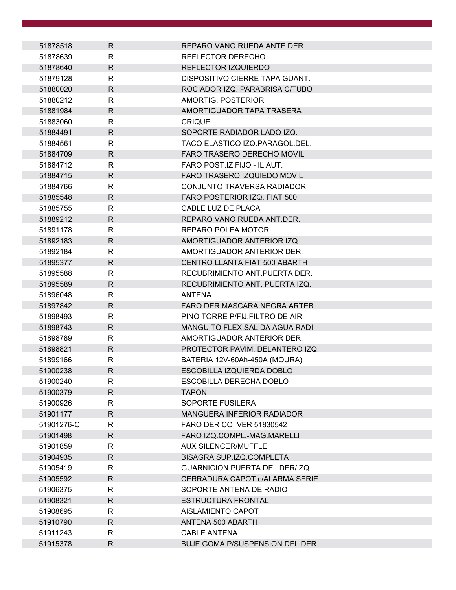| 51878518   | $\mathsf{R}$ | REPARO VANO RUEDA ANTE.DER.           |
|------------|--------------|---------------------------------------|
| 51878639   | R            | REFLECTOR DERECHO                     |
| 51878640   | $\mathsf{R}$ | REFLECTOR IZQUIERDO                   |
| 51879128   | R            | DISPOSITIVO CIERRE TAPA GUANT.        |
| 51880020   | $\mathsf{R}$ | ROCIADOR IZQ. PARABRISA C/TUBO        |
| 51880212   | R            | AMORTIG. POSTERIOR                    |
| 51881984   | $\mathsf{R}$ | AMORTIGUADOR TAPA TRASERA             |
| 51883060   | $\mathsf{R}$ | <b>CRIQUE</b>                         |
| 51884491   | $\mathsf{R}$ | SOPORTE RADIADOR LADO IZQ.            |
| 51884561   | R            | TACO ELASTICO IZQ.PARAGOL.DEL.        |
| 51884709   | R.           | <b>FARO TRASERO DERECHO MOVIL</b>     |
| 51884712   | R            | FARO POST.IZ.FIJO - IL.AUT.           |
| 51884715   | $\mathsf{R}$ | <b>FARO TRASERO IZQUIEDO MOVIL</b>    |
| 51884766   | $\mathsf{R}$ | CONJUNTO TRAVERSA RADIADOR            |
| 51885548   | $\mathsf{R}$ | FARO POSTERIOR IZQ. FIAT 500          |
| 51885755   | R            | CABLE LUZ DE PLACA                    |
| 51889212   | R.           | REPARO VANO RUEDA ANT.DER.            |
| 51891178   | R            | REPARO POLEA MOTOR                    |
| 51892183   | R.           | AMORTIGUADOR ANTERIOR IZQ.            |
| 51892184   | $\mathsf{R}$ | AMORTIGUADOR ANTERIOR DER.            |
| 51895377   | $\mathsf{R}$ | <b>CENTRO LLANTA FIAT 500 ABARTH</b>  |
| 51895588   | R            | RECUBRIMIENTO ANT. PUERTA DER.        |
| 51895589   | R            | RECUBRIMIENTO ANT. PUERTA IZQ.        |
| 51896048   | R            | <b>ANTENA</b>                         |
| 51897842   | R.           | FARO DER MASCARA NEGRA ARTEB          |
| 51898493   | R            | PINO TORRE P/FIJ.FILTRO DE AIR        |
| 51898743   | $\mathsf{R}$ | MANGUITO FLEX. SALIDA AGUA RADI       |
| 51898789   | R            | AMORTIGUADOR ANTERIOR DER.            |
| 51898821   | R.           | PROTECTOR PAVIM. DELANTERO IZQ        |
| 51899166   | $\mathsf{R}$ | BATERIA 12V-60Ah-450A (MOURA)         |
| 51900238   | R            | ESCOBILLA IZQUIERDA DOBLO             |
| 51900240   | R            | ESCOBILLA DERECHA DOBLO               |
| 51900379   | $\mathsf{R}$ | <b>TAPON</b>                          |
| 51900926   | $\mathsf{R}$ | SOPORTE FUSILERA                      |
| 51901177   | $\mathsf{R}$ | <b>MANGUERA INFERIOR RADIADOR</b>     |
| 51901276-C | R            | FARO DER CO VER 51830542              |
| 51901498   | $\mathsf{R}$ | FARO IZQ.COMPL.-MAG.MARELLI           |
| 51901859   | R.           | <b>AUX SILENCER/MUFFLE</b>            |
| 51904935   | $\mathsf{R}$ | BISAGRA SUP.IZQ.COMPLETA              |
| 51905419   | $\mathsf{R}$ | <b>GUARNICION PUERTA DEL DER/IZQ.</b> |
| 51905592   | $\mathsf{R}$ | CERRADURA CAPOT C/ALARMA SERIE        |
| 51906375   | $\mathsf{R}$ | SOPORTE ANTENA DE RADIO               |
| 51908321   | $\mathsf{R}$ | <b>ESTRUCTURA FRONTAL</b>             |
| 51908695   | R.           | AISLAMIENTO CAPOT                     |
| 51910790   | R.           | ANTENA 500 ABARTH                     |
| 51911243   | R            | <b>CABLE ANTENA</b>                   |
| 51915378   | $\mathsf{R}$ | <b>BUJE GOMA P/SUSPENSION DEL.DER</b> |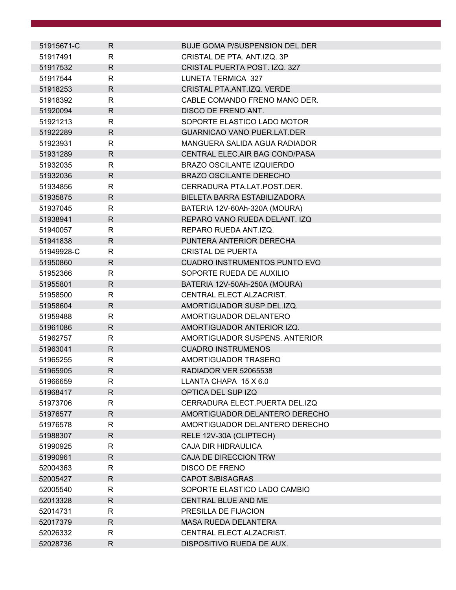| 51915671-C | R.           | <b>BUJE GOMA P/SUSPENSION DEL.DER</b> |
|------------|--------------|---------------------------------------|
| 51917491   | R            | CRISTAL DE PTA. ANT.IZQ. 3P           |
| 51917532   | $\mathsf{R}$ | CRISTAL PUERTA POST. IZQ. 327         |
| 51917544   | R            | <b>LUNETA TERMICA 327</b>             |
| 51918253   | R            | CRISTAL PTA.ANT.IZQ. VERDE            |
| 51918392   | R            | CABLE COMANDO FRENO MANO DER.         |
| 51920094   | R            | DISCO DE FRENO ANT.                   |
| 51921213   | R            | SOPORTE ELASTICO LADO MOTOR           |
| 51922289   | $\mathsf{R}$ | <b>GUARNICAO VANO PUER.LAT.DER</b>    |
| 51923931   | R            | MANGUERA SALIDA AGUA RADIADOR         |
| 51931289   | $\mathsf{R}$ | CENTRAL ELEC. AIR BAG COND/PASA       |
| 51932035   | R            | <b>BRAZO OSCILANTE IZQUIERDO</b>      |
| 51932036   | $\mathsf{R}$ | <b>BRAZO OSCILANTE DERECHO</b>        |
| 51934856   | R            | CERRADURA PTA.LAT.POST.DER.           |
| 51935875   | R            | BIELETA BARRA ESTABILIZADORA          |
| 51937045   | R            | BATERIA 12V-60Ah-320A (MOURA)         |
| 51938941   | $\mathsf{R}$ | REPARO VANO RUEDA DELANT. IZQ         |
| 51940057   | R            | REPARO RUEDA ANT.IZQ.                 |
| 51941838   | R            | PUNTERA ANTERIOR DERECHA              |
| 51949928-C | R            | <b>CRISTAL DE PUERTA</b>              |
| 51950860   | $\mathsf{R}$ | <b>CUADRO INSTRUMENTOS PUNTO EVO</b>  |
| 51952366   | R            | SOPORTE RUEDA DE AUXILIO              |
| 51955801   | $\mathsf{R}$ | BATERIA 12V-50Ah-250A (MOURA)         |
| 51958500   | R            | CENTRAL ELECT.ALZACRIST.              |
| 51958604   | $\mathsf{R}$ | AMORTIGUADOR SUSP.DEL.IZQ.            |
| 51959488   | R            | AMORTIGUADOR DELANTERO                |
| 51961086   | R            | AMORTIGUADOR ANTERIOR IZQ.            |
| 51962757   | R            | AMORTIGUADOR SUSPENS. ANTERIOR        |
| 51963041   | $\mathsf{R}$ | <b>CUADRO INSTRUMENOS</b>             |
| 51965255   | R            | AMORTIGUADOR TRASERO                  |
| 51965905   | ${\sf R}$    | RADIADOR VER 52065538                 |
| 51966659   | R            | LLANTA CHAPA 15 X 6.0                 |
| 51968417   | $\mathsf{R}$ | OPTICA DEL SUP IZQ                    |
| 51973706   | R            | CERRADURA ELECT.PUERTA DEL.IZQ        |
| 51976577   | $\mathsf{R}$ | AMORTIGUADOR DELANTERO DERECHO        |
| 51976578   | R            | AMORTIGUADOR DELANTERO DERECHO        |
| 51988307   | $\mathsf{R}$ | RELE 12V-30A (CLIPTECH)               |
| 51990925   | R            | <b>CAJA DIR HIDRAULICA</b>            |
| 51990961   | $\mathsf{R}$ | CAJA DE DIRECCION TRW                 |
| 52004363   | $\mathsf{R}$ | <b>DISCO DE FRENO</b>                 |
| 52005427   | R.           | <b>CAPOT S/BISAGRAS</b>               |
| 52005540   | R            | SOPORTE ELASTICO LADO CAMBIO          |
| 52013328   | $\mathsf{R}$ | <b>CENTRAL BLUE AND ME</b>            |
| 52014731   | R            | PRESILLA DE FIJACION                  |
| 52017379   | $\mathsf{R}$ | <b>MASA RUEDA DELANTERA</b>           |
| 52026332   | R            | CENTRAL ELECT.ALZACRIST.              |
| 52028736   | $\mathsf{R}$ | DISPOSITIVO RUEDA DE AUX.             |
|            |              |                                       |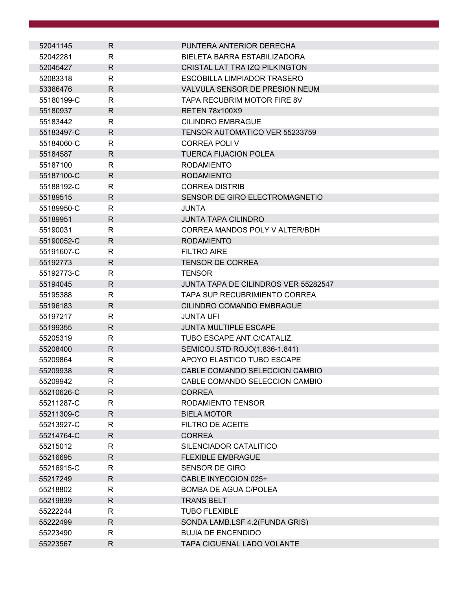| 52041145   | R.           | PUNTERA ANTERIOR DERECHA              |
|------------|--------------|---------------------------------------|
| 52042281   | R            | BIELETA BARRA ESTABILIZADORA          |
| 52045427   | R            | CRISTAL LAT TRA IZQ PILKINGTON        |
| 52083318   | $\mathsf{R}$ | ESCOBILLA LIMPIADOR TRASERO           |
| 53386476   | R            | <b>VALVULA SENSOR DE PRESION NEUM</b> |
| 55180199-C | R            | TAPA RECUBRIM MOTOR FIRE 8V           |
| 55180937   | $\mathsf{R}$ | <b>RETEN 78x100X9</b>                 |
| 55183442   | R            | <b>CILINDRO EMBRAGUE</b>              |
| 55183497-C | $\mathsf{R}$ | <b>TENSOR AUTOMATICO VER 55233759</b> |
| 55184060-C | R            | <b>CORREA POLI V</b>                  |
| 55184587   | $\mathsf{R}$ | <b>TUERCA FIJACION POLEA</b>          |
| 55187100   | R            | <b>RODAMIENTO</b>                     |
| 55187100-C | R            | <b>RODAMIENTO</b>                     |
| 55188192-C | R            | <b>CORREA DISTRIB</b>                 |
| 55189515   | R.           | SENSOR DE GIRO ELECTROMAGNETIO        |
| 55189950-C | R            | JUNTA                                 |
| 55189951   | $\mathsf{R}$ | <b>JUNTA TAPA CILINDRO</b>            |
| 55190031   | R            | CORREA MANDOS POLY V ALTER/BDH        |
| 55190052-C | R            | <b>RODAMIENTO</b>                     |
| 55191607-C | R            | <b>FILTRO AIRE</b>                    |
| 55192773   | R            | <b>TENSOR DE CORREA</b>               |
| 55192773-C | R            | <b>TENSOR</b>                         |
| 55194045   | $\mathsf{R}$ | JUNTA TAPA DE CILINDROS VER 55282547  |
| 55195388   | R            | TAPA SUP.RECUBRIMIENTO CORREA         |
| 55196183   | R            | CILINDRO COMANDO EMBRAGUE             |
| 55197217   | R            | JUNTA UFI                             |
| 55199355   | R            | <b>JUNTA MULTIPLE ESCAPE</b>          |
| 55205319   | R            | TUBO ESCAPE ANT.C/CATALIZ.            |
| 55208400   | R.           | SEMICOJ.STD ROJO(1.836-1.841)         |
| 55209864   | $\mathsf{R}$ | APOYO ELASTICO TUBO ESCAPE            |
| 55209938   | $\mathsf{R}$ | CABLE COMANDO SELECCION CAMBIO        |
| 55209942   | R            | CABLE COMANDO SELECCION CAMBIO        |
| 55210626-C | $\mathsf{R}$ | <b>CORREA</b>                         |
| 55211287-C | R            | RODAMIENTO TENSOR                     |
| 55211309-C | $\mathsf{R}$ | <b>BIELA MOTOR</b>                    |
| 55213927-C | R.           | <b>FILTRO DE ACEITE</b>               |
| 55214764-C | $\mathsf{R}$ | <b>CORREA</b>                         |
| 55215012   | R            | SILENCIADOR CATALITICO                |
| 55216695   | $\mathsf{R}$ | <b>FLEXIBLE EMBRAGUE</b>              |
| 55216915-C | R            | <b>SENSOR DE GIRO</b>                 |
| 55217249   | R.           | CABLE INYECCION 025+                  |
| 55218802   | R            | <b>BOMBA DE AGUA C/POLEA</b>          |
| 55219839   | $\mathsf{R}$ | <b>TRANS BELT</b>                     |
| 55222244   | R            | <b>TUBO FLEXIBLE</b>                  |
| 55222499   | R            | SONDA LAMB.LSF 4.2(FUNDA GRIS)        |
| 55223490   | R            | <b>BUJIA DE ENCENDIDO</b>             |
| 55223567   | $\mathsf{R}$ | TAPA CIGUENAL LADO VOLANTE            |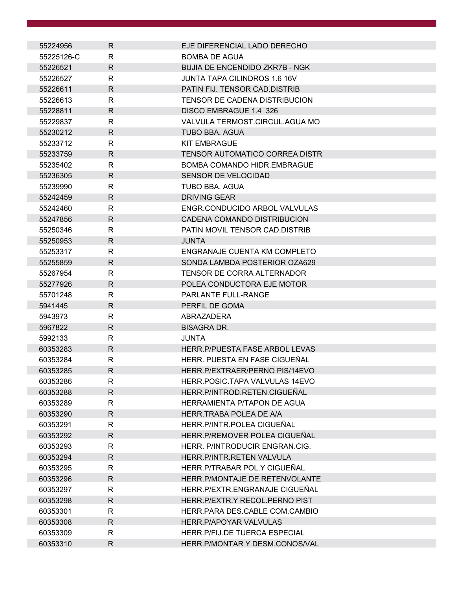| 55224956   | R.           | EJE DIFERENCIAL LADO DERECHO          |
|------------|--------------|---------------------------------------|
| 55225126-C | R            | <b>BOMBA DE AGUA</b>                  |
| 55226521   | R            | <b>BUJIA DE ENCENDIDO ZKR7B - NGK</b> |
| 55226527   | $\mathsf{R}$ | <b>JUNTA TAPA CILINDROS 1.6 16V</b>   |
| 55226611   | R.           | <b>PATIN FIJ. TENSOR CAD.DISTRIB</b>  |
| 55226613   | R            | TENSOR DE CADENA DISTRIBUCION         |
| 55228811   | $\mathsf{R}$ | DISCO EMBRAGUE 1.4 326                |
| 55229837   | $\mathsf{R}$ | VALVULA TERMOST.CIRCUL.AGUA MO        |
| 55230212   | R            | TUBO BBA. AGUA                        |
| 55233712   | R            | <b>KIT EMBRAGUE</b>                   |
| 55233759   | R            | TENSOR AUTOMATICO CORREA DISTR        |
| 55235402   | R            | BOMBA COMANDO HIDR.EMBRAGUE           |
| 55236305   | $\mathsf{R}$ | <b>SENSOR DE VELOCIDAD</b>            |
| 55239990   | R            | TUBO BBA, AGUA                        |
| 55242459   | $\mathsf{R}$ | <b>DRIVING GEAR</b>                   |
| 55242460   | R            | ENGR.CONDUCIDO ARBOL VALVULAS         |
| 55247856   | R            | CADENA COMANDO DISTRIBUCION           |
| 55250346   | R            | PATIN MOVIL TENSOR CAD.DISTRIB        |
| 55250953   | R.           | <b>JUNTA</b>                          |
| 55253317   | $\mathsf{R}$ | ENGRANAJE CUENTA KM COMPLETO          |
| 55255859   | $\mathsf{R}$ | SONDA LAMBDA POSTERIOR OZA629         |
| 55267954   | R            | TENSOR DE CORRA ALTERNADOR            |
| 55277926   | R            | POLEA CONDUCTORA EJE MOTOR            |
| 55701248   | R            | <b>PARLANTE FULL-RANGE</b>            |
| 5941445    | $\mathsf{R}$ | PERFIL DE GOMA                        |
| 5943973    | R            | ABRAZADERA                            |
| 5967822    | $\mathsf{R}$ | <b>BISAGRA DR.</b>                    |
| 5992133    | R            | JUNTA                                 |
| 60353283   | R.           | HERR.P/PUESTA FASE ARBOL LEVAS        |
| 60353284   | R            | HERR. PUESTA EN FASE CIGUEÑAL         |
| 60353285   | $\mathsf{R}$ | HERR.P/EXTRAER/PERNO PIS/14EVO        |
| 60353286   | $\mathsf{R}$ | HERR.POSIC.TAPA VALVULAS 14EVO        |
| 60353288   | $\mathsf{R}$ | HERR.P/INTROD.RETEN.CIGUEÑAL          |
| 60353289   | $\mathsf{R}$ | <b>HERRAMIENTA P/TAPON DE AGUA</b>    |
| 60353290   | $\mathsf{R}$ | HERR TRABA POLEA DE A/A               |
| 60353291   | R            | HERR.P/INTR.POLEA CIGUEÑAL            |
| 60353292   | $\mathsf{R}$ | HERR.P/REMOVER POLEA CIGUEÑAL         |
| 60353293   | R.           | HERR. P/INTRODUCIR ENGRAN.CIG.        |
| 60353294   | $\mathsf{R}$ | HERR.P/INTR.RETEN VALVULA             |
| 60353295   | $\mathsf{R}$ | HERR.P/TRABAR POL.Y CIGUEÑAL          |
| 60353296   | R.           | HERR.P/MONTAJE DE RETENVOLANTE        |
| 60353297   | R            | HERR.P/EXTR.ENGRANAJE CIGUEÑAL        |
| 60353298   | $\mathsf{R}$ | HERR.P/EXTR.Y RECOL.PERNO PIST        |
| 60353301   | $\mathsf{R}$ | HERR. PARA DES. CABLE COM. CAMBIO     |
| 60353308   | $\mathsf{R}$ | <b>HERR.P/APOYAR VALVULAS</b>         |
| 60353309   | $\mathsf{R}$ | HERR.P/FIJ.DE TUERCA ESPECIAL         |
| 60353310   | $\mathsf{R}$ | HERR.P/MONTAR Y DESM.CONOS/VAL        |
|            |              |                                       |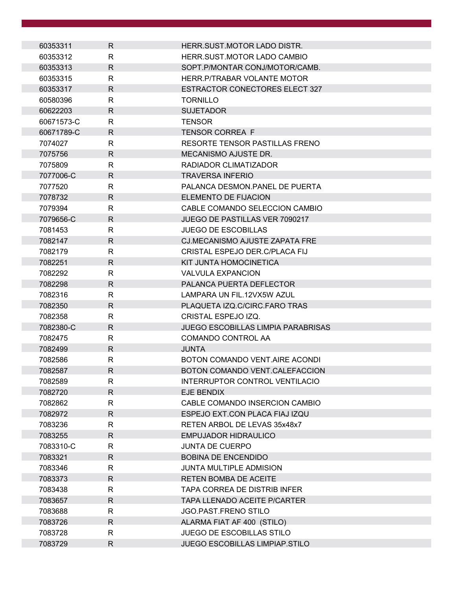| 60353311   | R.           | HERR.SUST.MOTOR LADO DISTR.               |
|------------|--------------|-------------------------------------------|
| 60353312   | R            | HERR.SUST.MOTOR LADO CAMBIO               |
| 60353313   | R.           | SOPT.P/MONTAR CONJ/MOTOR/CAMB.            |
| 60353315   | $\mathsf{R}$ | HERR P/TRABAR VOLANTE MOTOR               |
| 60353317   | R            | ESTRACTOR CONECTORES ELECT 327            |
| 60580396   | R            | <b>TORNILLO</b>                           |
| 60622203   | $\mathsf{R}$ | <b>SUJETADOR</b>                          |
| 60671573-C | R            | <b>TENSOR</b>                             |
| 60671789-C | R            | <b>TENSOR CORREA F</b>                    |
| 7074027    | R            | RESORTE TENSOR PASTILLAS FRENO            |
| 7075756    | $\mathsf{R}$ | <b>MECANISMO AJUSTE DR.</b>               |
| 7075809    | R            | RADIADOR CLIMATIZADOR                     |
| 7077006-C  | $\mathsf{R}$ | <b>TRAVERSA INFERIO</b>                   |
| 7077520    | R            | PALANCA DESMON PANEL DE PUERTA            |
| 7078732    | R            | ELEMENTO DE FIJACION                      |
| 7079394    | R            | CABLE COMANDO SELECCION CAMBIO            |
| 7079656-C  | $\mathsf{R}$ | <b>JUEGO DE PASTILLAS VER 7090217</b>     |
| 7081453    | R            | <b>JUEGO DE ESCOBILLAS</b>                |
| 7082147    | R            | CJ.MECANISMO AJUSTE ZAPATA FRE            |
| 7082179    | R            | CRISTAL ESPEJO DER.C/PLACA FIJ            |
| 7082251    | $\mathsf{R}$ | KIT JUNTA HOMOCINETICA                    |
| 7082292    | R            | <b>VALVULA EXPANCION</b>                  |
| 7082298    | $\mathsf{R}$ | PALANCA PUERTA DEFLECTOR                  |
| 7082316    | R            | LAMPARA UN FIL.12VX5W AZUL                |
| 7082350    | R.           | PLAQUETA IZQ.C/CIRC.FARO TRAS             |
| 7082358    | R            | CRISTAL ESPEJO IZQ.                       |
| 7082380-C  | R            | <b>JUEGO ESCOBILLAS LIMPIA PARABRISAS</b> |
| 7082475    | R            | COMANDO CONTROL AA                        |
| 7082499    | R.           | <b>JUNTA</b>                              |
| 7082586    | R            | BOTON COMANDO VENT.AIRE ACONDI            |
| 7082587    | R            | BOTON COMANDO VENT.CALEFACCION            |
| 7082589    | R            | INTERRUPTOR CONTROL VENTILACIO            |
| 7082720    | $\mathsf{R}$ | EJE BENDIX                                |
| 7082862    | R            | CABLE COMANDO INSERCION CAMBIO            |
| 7082972    | $\mathsf{R}$ | ESPEJO EXT.CON PLACA FIAJ IZQU            |
| 7083236    | R.           | RETEN ARBOL DE LEVAS 35x48x7              |
| 7083255    | $\mathsf{R}$ | <b>EMPUJADOR HIDRAULICO</b>               |
| 7083310-C  | $\mathsf{R}$ | <b>JUNTA DE CUERPO</b>                    |
| 7083321    | $\mathsf{R}$ | <b>BOBINA DE ENCENDIDO</b>                |
| 7083346    | $\mathsf{R}$ | <b>JUNTA MULTIPLE ADMISION</b>            |
| 7083373    | R.           | <b>RETEN BOMBA DE ACEITE</b>              |
| 7083438    | R            | TAPA CORREA DE DISTRIB INFER              |
| 7083657    | $\mathsf{R}$ | <b>TAPA LLENADO ACEITE P/CARTER</b>       |
| 7083688    | $\mathsf{R}$ | <b>JGO.PAST.FRENO STILO</b>               |
| 7083726    | R.           | ALARMA FIAT AF 400 (STILO)                |
| 7083728    | R            | <b>JUEGO DE ESCOBILLAS STILO</b>          |
| 7083729    | $\mathsf{R}$ | JUEGO ESCOBILLAS LIMPIAP.STILO            |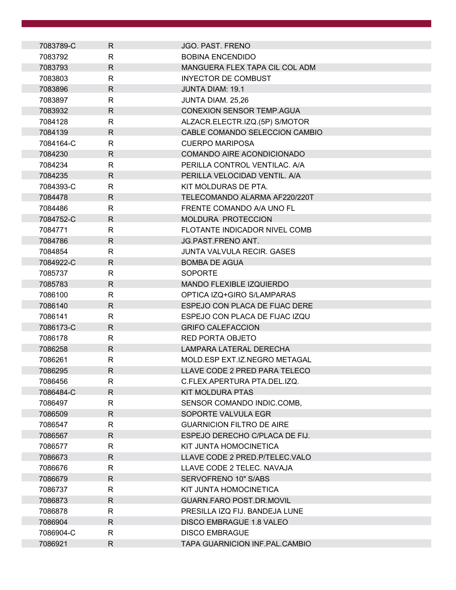| 7083789-C | $\mathsf{R}$ | JGO. PAST. FRENO                  |
|-----------|--------------|-----------------------------------|
| 7083792   | $\mathsf{R}$ | <b>BOBINA ENCENDIDO</b>           |
| 7083793   | $\mathsf{R}$ | MANGUERA FLEX TAPA CIL COL ADM    |
| 7083803   | R            | <b>INYECTOR DE COMBUST</b>        |
| 7083896   | $\mathsf{R}$ | <b>JUNTA DIAM: 19.1</b>           |
| 7083897   | $\mathsf{R}$ | JUNTA DIAM. 25,26                 |
| 7083932   | $\mathsf{R}$ | <b>CONEXION SENSOR TEMP.AGUA</b>  |
| 7084128   | $\mathsf{R}$ | ALZACR.ELECTR.IZQ.(5P) S/MOTOR    |
| 7084139   | $\mathsf{R}$ | CABLE COMANDO SELECCION CAMBIO    |
| 7084164-C | R            | <b>CUERPO MARIPOSA</b>            |
| 7084230   | R            | <b>COMANDO AIRE ACONDICIONADO</b> |
| 7084234   | R            | PERILLA CONTROL VENTILAC. A/A     |
| 7084235   | $\mathsf{R}$ | PERILLA VELOCIDAD VENTIL. A/A     |
| 7084393-C | R            | KIT MOLDURAS DE PTA.              |
| 7084478   | $\mathsf{R}$ | TELECOMANDO ALARMA AF220/220T     |
| 7084486   | R            | FRENTE COMANDO A/A UNO FL         |
| 7084752-C | $\mathsf{R}$ | <b>MOLDURA PROTECCION</b>         |
| 7084771   | R            | FLOTANTE INDICADOR NIVEL COMB     |
| 7084786   | $\mathsf{R}$ | JG.PAST.FRENO ANT.                |
| 7084854   | R            | JUNTA VALVULA RECIR. GASES        |
| 7084922-C | $\mathsf{R}$ | <b>BOMBA DE AGUA</b>              |
| 7085737   | $\mathsf{R}$ | <b>SOPORTE</b>                    |
| 7085783   | R            | MANDO FLEXIBLE IZQUIERDO          |
| 7086100   | R            | OPTICA IZQ+GIRO S/LAMPARAS        |
| 7086140   | $\mathsf{R}$ | ESPEJO CON PLACA DE FIJAC DERE    |
| 7086141   | R            | ESPEJO CON PLACA DE FIJAC IZQU    |
| 7086173-C | $\mathsf{R}$ | <b>GRIFO CALEFACCION</b>          |
| 7086178   | R            | <b>RED PORTA OBJETO</b>           |
| 7086258   | $\mathsf{R}$ | LAMPARA LATERAL DERECHA           |
| 7086261   | R            | MOLD.ESP EXT.IZ.NEGRO METAGAL     |
| 7086295   | R            | LLAVE CODE 2 PRED PARA TELECO     |
| 7086456   | R            | C.FLEX.APERTURA PTA.DEL.IZQ.      |
| 7086484-C | $\mathsf{R}$ | <b>KIT MOLDURA PTAS</b>           |
| 7086497   | $\mathsf{R}$ | SENSOR COMANDO INDIC.COMB,        |
| 7086509   | R            | SOPORTE VALVULA EGR               |
| 7086547   | R            | <b>GUARNICION FILTRO DE AIRE</b>  |
| 7086567   | $\mathsf{R}$ | ESPEJO DERECHO C/PLACA DE FIJ.    |
| 7086577   | R            | KIT JUNTA HOMOCINETICA            |
| 7086673   | $\mathsf{R}$ | LLAVE CODE 2 PRED.P/TELEC.VALO    |
| 7086676   | R            | LLAVE CODE 2 TELEC. NAVAJA        |
| 7086679   | $\mathsf{R}$ | SERVOFRENO 10" S/ABS              |
| 7086737   | R            | KIT JUNTA HOMOCINETICA            |
| 7086873   | $\mathsf{R}$ | <b>GUARN.FARO POST.DR.MOVIL</b>   |
| 7086878   | $\mathsf{R}$ | PRESILLA IZQ FIJ. BANDEJA LUNE    |
| 7086904   | R.           | DISCO EMBRAGUE 1.8 VALEO          |
| 7086904-C | R            | <b>DISCO EMBRAGUE</b>             |
| 7086921   | R            | TAPA GUARNICION INF. PAL. CAMBIO  |
|           |              |                                   |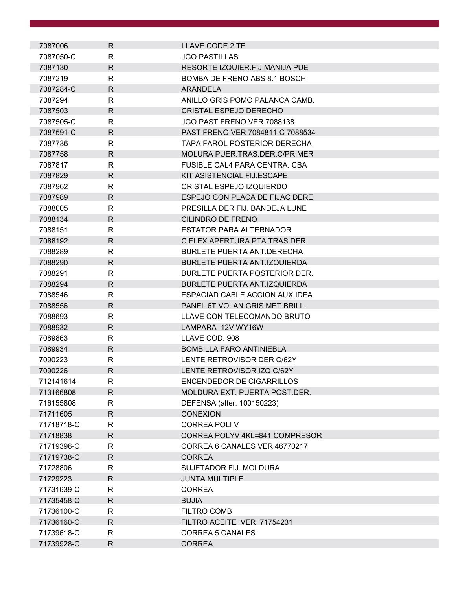| 7087006    | R            | LLAVE CODE 2 TE                      |
|------------|--------------|--------------------------------------|
| 7087050-C  | R            | <b>JGO PASTILLAS</b>                 |
| 7087130    | $\mathsf{R}$ | RESORTE IZQUIER.FIJ.MANIJA PUE       |
| 7087219    | R            | BOMBA DE FRENO ABS 8.1 BOSCH         |
| 7087284-C  | $\mathsf{R}$ | <b>ARANDELA</b>                      |
| 7087294    | R            | ANILLO GRIS POMO PALANCA CAMB.       |
| 7087503    | $\mathsf{R}$ | <b>CRISTAL ESPEJO DERECHO</b>        |
| 7087505-C  | R            | JGO PAST FRENO VER 7088138           |
| 7087591-C  | $\mathsf{R}$ | PAST FRENO VER 7084811-C 7088534     |
| 7087736    | R            | TAPA FAROL POSTERIOR DERECHA         |
| 7087758    | $\mathsf{R}$ | MOLURA PUER.TRAS.DER.C/PRIMER        |
| 7087817    | R            | <b>FUSIBLE CAL4 PARA CENTRA. CBA</b> |
| 7087829    | R            | KIT ASISTENCIAL FIJ.ESCAPE           |
| 7087962    | R            | <b>CRISTAL ESPEJO IZQUIERDO</b>      |
| 7087989    | R            | ESPEJO CON PLACA DE FIJAC DERE       |
| 7088005    | R            | PRESILLA DER FIJ. BANDEJA LUNE       |
| 7088134    | R            | <b>CILINDRO DE FRENO</b>             |
| 7088151    | R            | ESTATOR PARA ALTERNADOR              |
| 7088192    | R            | C.FLEX.APERTURA PTA.TRAS.DER.        |
| 7088289    | R            | <b>BURLETE PUERTA ANT DERECHA</b>    |
| 7088290    | $\mathsf{R}$ | <b>BURLETE PUERTA ANT.IZQUIERDA</b>  |
| 7088291    | R            | <b>BURLETE PUERTA POSTERIOR DER.</b> |
| 7088294    | R            | <b>BURLETE PUERTA ANT.IZQUIERDA</b>  |
| 7088546    | R            | ESPACIAD.CABLE ACCION.AUX.IDEA       |
| 7088556    | $\mathsf{R}$ | PANEL 6T VOLAN.GRIS.MET.BRILL.       |
| 7088693    | R            | LLAVE CON TELECOMANDO BRUTO          |
| 7088932    | R            | LAMPARA 12V WY16W                    |
| 7089863    | R            | LLAVE COD: 908                       |
| 7089934    | R            | <b>BOMBILLA FARO ANTINIEBLA</b>      |
| 7090223    | $\mathsf{R}$ | LENTE RETROVISOR DER C/62Y           |
| 7090226    | $\mathsf{R}$ | LENTE RETROVISOR IZQ C/62Y           |
| 712141614  | R            | <b>ENCENDEDOR DE CIGARRILLOS</b>     |
| 713166808  | $\mathsf{R}$ | MOLDURA EXT. PUERTA POST.DER.        |
| 716155808  | R            | DEFENSA (alter. 100150223)           |
| 71711605   | $\mathsf{R}$ | <b>CONEXION</b>                      |
| 71718718-C | R            | <b>CORREA POLI V</b>                 |
| 71718838   | $\mathsf{R}$ | CORREA POLYV 4KL=841 COMPRESOR       |
| 71719396-C | R            | CORREA 6 CANALES VER 46770217        |
| 71719738-C | $\mathsf{R}$ | <b>CORREA</b>                        |
| 71728806   | R            | SUJETADOR FIJ. MOLDURA               |
| 71729223   | R.           | <b>JUNTA MULTIPLE</b>                |
| 71731639-C | R            | <b>CORREA</b>                        |
| 71735458-C | $\mathsf{R}$ | <b>BUJIA</b>                         |
| 71736100-C | $\mathsf{R}$ | <b>FILTRO COMB</b>                   |
| 71736160-C | R            | FILTRO ACEITE VER 71754231           |
| 71739618-C | $\mathsf{R}$ | <b>CORREA 5 CANALES</b>              |
| 71739928-C | R            | <b>CORREA</b>                        |
|            |              |                                      |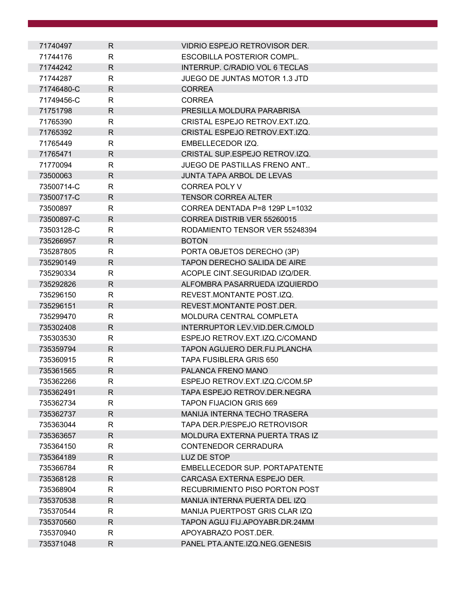| 71740497   | R            | VIDRIO ESPEJO RETROVISOR DER.        |
|------------|--------------|--------------------------------------|
| 71744176   | R            | <b>ESCOBILLA POSTERIOR COMPL.</b>    |
| 71744242   | R            | INTERRUP. C/RADIO VOL 6 TECLAS       |
| 71744287   | R            | JUEGO DE JUNTAS MOTOR 1.3 JTD        |
| 71746480-C | R.           | <b>CORREA</b>                        |
| 71749456-C | $\mathsf{R}$ | <b>CORREA</b>                        |
| 71751798   | R            | PRESILLA MOLDURA PARABRISA           |
| 71765390   | R            | CRISTAL ESPEJO RETROV.EXT.IZQ.       |
| 71765392   | R            | CRISTAL ESPEJO RETROV.EXT.IZQ.       |
| 71765449   | R            | EMBELLECEDOR IZQ.                    |
| 71765471   | R            | CRISTAL SUP.ESPEJO RETROV.IZQ.       |
| 71770094   | R            | JUEGO DE PASTILLAS FRENO ANT         |
| 73500063   | R            | <b>JUNTA TAPA ARBOL DE LEVAS</b>     |
| 73500714-C | R            | <b>CORREA POLY V</b>                 |
| 73500717-C | R            | <b>TENSOR CORREA ALTER</b>           |
| 73500897   | R            | CORREA DENTADA P=8 129P L=1032       |
| 73500897-C | R            | CORREA DISTRIB VER 55260015          |
| 73503128-C | R            | RODAMIENTO TENSOR VER 55248394       |
| 735266957  | R            | <b>BOTON</b>                         |
| 735287805  | R            | PORTA OBJETOS DERECHO (3P)           |
| 735290149  | R            | <b>TAPON DERECHO SALIDA DE AIRE</b>  |
| 735290334  | R            | ACOPLE CINT.SEGURIDAD IZQ/DER.       |
| 735292826  | R.           | ALFOMBRA PASARRUEDA IZQUIERDO        |
| 735296150  | R.           | REVEST.MONTANTE POST.IZQ.            |
| 735296151  | $\mathsf{R}$ | REVEST.MONTANTE POST.DER.            |
| 735299470  | R            | MOLDURA CENTRAL COMPLETA             |
| 735302408  | R            | INTERRUPTOR LEV.VID.DER.C/MOLD       |
| 735303530  | R            | ESPEJO RETROV.EXT.IZQ.C/COMAND       |
| 735359794  | R            | <b>TAPON AGUJERO DER.FIJ.PLANCHA</b> |
| 735360915  | R            | <b>TAPA FUSIBLERA GRIS 650</b>       |
| 735361565  | $\mathsf R$  | PALANCA FRENO MANO                   |
| 735362266  | R            | ESPEJO RETROV.EXT.IZQ.C/COM.5P       |
| 735362491  | R            | TAPA ESPEJO RETROV.DER.NEGRA         |
| 735362734  | $\mathsf{R}$ | <b>TAPON FIJACION GRIS 669</b>       |
| 735362737  | R            | <b>MANIJA INTERNA TECHO TRASERA</b>  |
| 735363044  | R            | TAPA DER P/ESPEJO RETROVISOR         |
| 735363657  | R.           | MOLDURA EXTERNA PUERTA TRAS IZ       |
| 735364150  | R            | CONTENEDOR CERRADURA                 |
| 735364189  | R            | LUZ DE STOP                          |
| 735366784  | R            | EMBELLECEDOR SUP, PORTAPATENTE       |
| 735368128  | R.           | CARCASA EXTERNA ESPEJO DER.          |
| 735368904  | R            | RECUBRIMIENTO PISO PORTON POST       |
| 735370538  | R            | MANIJA INTERNA PUERTA DEL IZQ        |
| 735370544  | $\mathsf{R}$ | MANIJA PUERTPOST GRIS CLAR IZQ       |
| 735370560  | R            | TAPON AGUJ FIJ.APOYABR.DR.24MM       |
| 735370940  | R            | APOYABRAZO POST.DER.                 |
| 735371048  | R            | PANEL PTA.ANTE.IZQ.NEG.GENESIS       |
|            |              |                                      |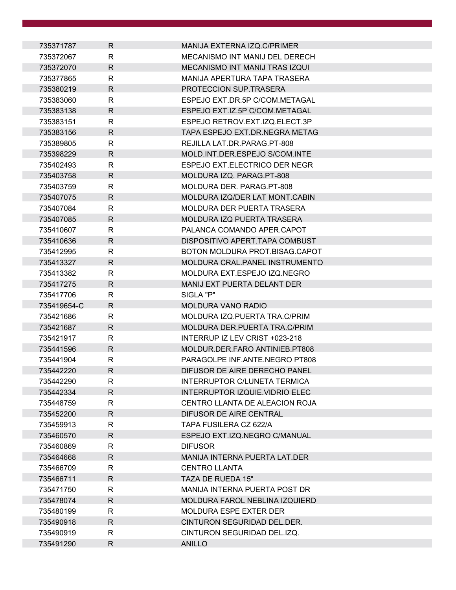| 735371787   | R            | MANIJA EXTERNA IZQ.C/PRIMER           |
|-------------|--------------|---------------------------------------|
| 735372067   | R            | MECANISMO INT MANIJ DEL DERECH        |
| 735372070   | $\mathsf{R}$ | <b>MECANISMO INT MANIJ TRAS IZQUI</b> |
| 735377865   | $\mathsf{R}$ | MANIJA APERTURA TAPA TRASERA          |
| 735380219   | $\mathsf{R}$ | PROTECCION SUP. TRASERA               |
| 735383060   | R            | ESPEJO EXT.DR.5P C/COM.METAGAL        |
| 735383138   | $\mathsf{R}$ | ESPEJO EXT.IZ.5P C/COM.METAGAL        |
| 735383151   | R            | ESPEJO RETROV.EXT.IZQ.ELECT.3P        |
| 735383156   | $\mathsf{R}$ | TAPA ESPEJO EXT.DR.NEGRA METAG        |
| 735389805   | R.           | REJILLA LAT.DR.PARAG.PT-808           |
| 735398229   | R.           | MOLD.INT.DER.ESPEJO S/COM.INTE        |
| 735402493   | R            | ESPEJO EXT.ELECTRICO DER NEGR         |
| 735403758   | $\mathsf{R}$ | MOLDURA IZQ. PARAG.PT-808             |
| 735403759   | R.           | MOLDURA DER. PARAG.PT-808             |
| 735407075   | R.           | MOLDURA IZQ/DER LAT MONT.CABIN        |
| 735407084   | R            | <b>MOLDURA DER PUERTA TRASERA</b>     |
| 735407085   | R            | <b>MOLDURA IZQ PUERTA TRASERA</b>     |
| 735410607   | R            | PALANCA COMANDO APER.CAPOT            |
| 735410636   | R.           | DISPOSITIVO APERT. TAPA COMBUST       |
| 735412995   | R            | BOTON MOLDURA PROT.BISAG.CAPOT        |
| 735413327   | $\mathsf{R}$ | MOLDURA CRAL. PANEL INSTRUMENTO       |
| 735413382   | R            | MOLDURA EXT.ESPEJO IZQ.NEGRO          |
| 735417275   | $\mathsf{R}$ | MANIJ EXT PUERTA DELANT DER           |
| 735417706   | R            | SIGLA "P"                             |
| 735419654-C | $\mathsf{R}$ | <b>MOLDURA VANO RADIO</b>             |
| 735421686   | R.           | MOLDURA IZQ.PUERTA TRA.C/PRIM         |
| 735421687   | R            | MOLDURA DER. PUERTA TRA. C/PRIM       |
| 735421917   | R            | INTERRUP IZ LEV CRIST +023-218        |
| 735441596   | R.           | MOLDUR.DER.FARO ANTINIEB.PT808        |
| 735441904   | R            | PARAGOLPE INF.ANTE.NEGRO PT808        |
| 735442220   | R            | DIFUSOR DE AIRE DERECHO PANEL         |
| 735442290   | R            | INTERRUPTOR C/LUNETA TERMICA          |
| 735442334   | R            | INTERRUPTOR IZQUIE.VIDRIO ELEC        |
| 735448759   | R.           | CENTRO LLANTA DE ALEACION ROJA        |
| 735452200   | $\mathsf{R}$ | DIFUSOR DE AIRE CENTRAL               |
| 735459913   | R            | TAPA FUSILERA CZ 622/A                |
| 735460570   | $\mathsf{R}$ | ESPEJO EXT.IZQ.NEGRO C/MANUAL         |
| 735460869   | $\mathsf{R}$ | <b>DIFUSOR</b>                        |
| 735464668   | $\mathsf{R}$ | <b>MANIJA INTERNA PUERTA LAT.DER</b>  |
| 735466709   | R.           | <b>CENTRO LLANTA</b>                  |
| 735466711   | $\mathsf{R}$ | TAZA DE RUEDA 15"                     |
| 735471750   | R            | MANIJA INTERNA PUERTA POST DR         |
| 735478074   | R            | MOLDURA FAROL NEBLINA IZQUIERD        |
| 735480199   | $\mathsf{R}$ | <b>MOLDURA ESPE EXTER DER</b>         |
| 735490918   | R.           | CINTURON SEGURIDAD DEL.DER.           |
| 735490919   | R            | CINTURON SEGURIDAD DEL.IZQ.           |
| 735491290   | R.           | <b>ANILLO</b>                         |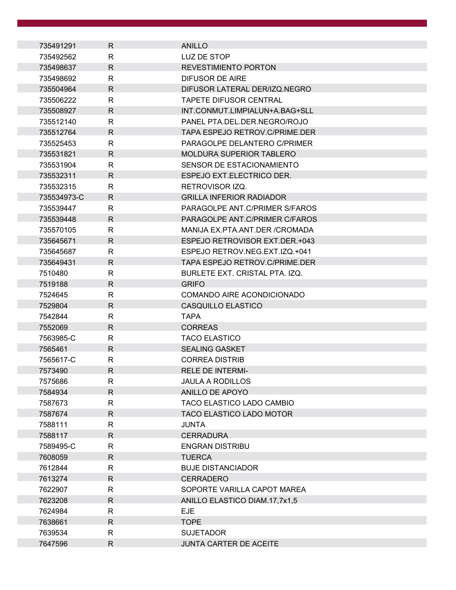| 735491291   | R            | <b>ANILLO</b>                   |
|-------------|--------------|---------------------------------|
| 735492562   | R            | LUZ DE STOP                     |
| 735498637   | R            | <b>REVESTIMIENTO PORTON</b>     |
| 735498692   | R            | DIFUSOR DE AIRE                 |
| 735504964   | R            | DIFUSOR LATERAL DER/IZQ.NEGRO   |
| 735506222   | R.           | <b>TAPETE DIFUSOR CENTRAL</b>   |
| 735508927   | R            | INT.CONMUT.LIMPIALUN+A.BAG+SLL  |
| 735512140   | R            | PANEL PTA.DEL.DER.NEGRO/ROJO    |
| 735512764   | R.           | TAPA ESPEJO RETROV.C/PRIME.DER  |
| 735525453   | R            | PARAGOLPE DELANTERO C/PRIMER    |
| 735531821   | R            | <b>MOLDURA SUPERIOR TABLERO</b> |
| 735531904   | R            | SENSOR DE ESTACIONAMIENTO       |
| 735532311   | R.           | ESPEJO EXT.ELECTRICO DER.       |
| 735532315   | R            | RETROVISOR IZQ.                 |
| 735534973-C | R.           | <b>GRILLA INFERIOR RADIADOR</b> |
| 735539447   | R            | PARAGOLPE ANT.C/PRIMER S/FAROS  |
| 735539448   | R.           | PARAGOLPE ANT.C/PRIMER C/FAROS  |
| 735570105   | R            | MANIJA EX.PTA.ANT.DER /CROMADA  |
| 735645671   | R.           | ESPEJO RETROVISOR EXT.DER.+043  |
| 735645687   | R            | ESPEJO RETROV.NEG.EXT.IZQ.+041  |
| 735649431   | R            | TAPA ESPEJO RETROV.C/PRIME.DER  |
| 7510480     | R            | BURLETE EXT. CRISTAL PTA. IZQ.  |
| 7519188     | R            | <b>GRIFO</b>                    |
| 7524645     | R.           | COMANDO AIRE ACONDICIONADO      |
| 7529804     | $\mathsf{R}$ | CASQUILLO ELASTICO              |
| 7542844     | R            | <b>TAPA</b>                     |
| 7552069     | R            | <b>CORREAS</b>                  |
| 7563985-C   | R            | <b>TACO ELASTICO</b>            |
| 7565461     | R.           | <b>SEALING GASKET</b>           |
| 7565617-C   | R            | <b>CORREA DISTRIB</b>           |
| 7573490     | R            | <b>RELE DE INTERMI-</b>         |
| 7575686     | R            | <b>JAULA A RODILLOS</b>         |
| 7584934     | $\mathsf{R}$ | ANILLO DE APOYO                 |
| 7587673     | R            | TACO ELASTICO LADO CAMBIO       |
| 7587674     | $\mathsf{R}$ | <b>TACO ELASTICO LADO MOTOR</b> |
| 7588111     | R            | JUNTA                           |
| 7588117     | R.           | <b>CERRADURA</b>                |
| 7589495-C   | R            | <b>ENGRAN DISTRIBU</b>          |
| 7608059     | R            | <b>TUERCA</b>                   |
| 7612844     | R            | <b>BUJE DISTANCIADOR</b>        |
| 7613274     | R.           | <b>CERRADERO</b>                |
| 7622907     | R            | SOPORTE VARILLA CAPOT MAREA     |
| 7623208     | R            | ANILLO ELASTICO DIAM.17,7x1,5   |
| 7624984     | $\mathsf{R}$ | <b>EJE</b>                      |
| 7638661     | R            | <b>TOPE</b>                     |
| 7639534     | R            | <b>SUJETADOR</b>                |
| 7647596     | $\mathsf{R}$ | <b>JUNTA CARTER DE ACEITE</b>   |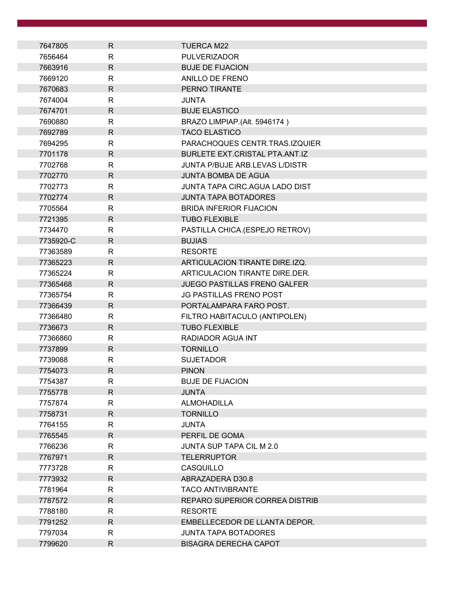| 7647805   | $\mathsf{R}$ | <b>TUERCA M22</b>                     |
|-----------|--------------|---------------------------------------|
| 7656464   | R            | <b>PULVERIZADOR</b>                   |
| 7663916   | $\mathsf{R}$ | <b>BUJE DE FIJACION</b>               |
| 7669120   | R            | ANILLO DE FRENO                       |
| 7670683   | $\mathsf{R}$ | PERNO TIRANTE                         |
| 7674004   | $\mathsf{R}$ | <b>JUNTA</b>                          |
| 7674701   | $\mathsf{R}$ | <b>BUJE ELASTICO</b>                  |
| 7690880   | $\mathsf{R}$ | BRAZO LIMPIAP.(Alt. 5946174)          |
| 7692789   | R            | <b>TACO ELASTICO</b>                  |
| 7694295   | $\mathsf{R}$ | PARACHOQUES CENTR.TRAS.IZQUIER        |
| 7701178   | $\mathsf{R}$ | BURLETE EXT.CRISTAL PTA.ANT.IZ        |
| 7702768   | $\mathsf{R}$ | <b>JUNTA P/BUJE ARB.LEVAS L/DISTR</b> |
| 7702770   | $\mathsf{R}$ | <b>JUNTA BOMBA DE AGUA</b>            |
| 7702773   | R            | <b>JUNTA TAPA CIRC.AGUA LADO DIST</b> |
| 7702774   | $\mathsf{R}$ | <b>JUNTA TAPA BOTADORES</b>           |
| 7705564   | R            | <b>BRIDA INFERIOR FIJACION</b>        |
| 7721395   | R.           | <b>TUBO FLEXIBLE</b>                  |
| 7734470   | R            | PASTILLA CHICA.(ESPEJO RETROV)        |
| 7735920-C | $\mathsf{R}$ | <b>BUJIAS</b>                         |
| 77363589  | R            | <b>RESORTE</b>                        |
| 77365223  | $\mathsf{R}$ | ARTICULACION TIRANTE DIRE.IZQ.        |
| 77365224  | $\mathsf{R}$ | ARTICULACION TIRANTE DIRE.DER.        |
| 77365468  | R            | <b>JUEGO PASTILLAS FRENO GALFER</b>   |
| 77365754  | $\mathsf{R}$ | <b>JG PASTILLAS FRENO POST</b>        |
| 77366439  | $\mathsf{R}$ | PORTALAMPARA FARO POST.               |
| 77366480  | $\mathsf{R}$ | FILTRO HABITACULO (ANTIPOLEN)         |
| 7736673   | $\mathsf{R}$ | <b>TUBO FLEXIBLE</b>                  |
| 77366860  | R            | <b>RADIADOR AGUA INT</b>              |
| 7737899   | $\mathsf{R}$ | <b>TORNILLO</b>                       |
| 7739088   | R            | <b>SUJETADOR</b>                      |
| 7754073   | $\mathsf{R}$ | <b>PINON</b>                          |
| 7754387   | R            | <b>BUJE DE FIJACION</b>               |
| 7755778   | $\mathsf{R}$ | <b>JUNTA</b>                          |
| 7757874   | R            | <b>ALMOHADILLA</b>                    |
| 7758731   | R            | <b>TORNILLO</b>                       |
| 7764155   | R            | <b>JUNTA</b>                          |
| 7765545   | R            | PERFIL DE GOMA                        |
| 7766236   | $\mathsf{R}$ | <b>JUNTA SUP TAPA CIL M 2.0</b>       |
| 7767971   | R            | <b>TELERRUPTOR</b>                    |
| 7773728   | R            | CASQUILLO                             |
| 7773932   | R.           | ABRAZADERA D30.8                      |
| 7781964   | R            | <b>TACO ANTIVIBRANTE</b>              |
| 7787572   | $\mathsf{R}$ | REPARO SUPERIOR CORREA DISTRIB        |
| 7788180   | R            | <b>RESORTE</b>                        |
| 7791252   | R.           | EMBELLECEDOR DE LLANTA DEPOR.         |
| 7797034   | R            | <b>JUNTA TAPA BOTADORES</b>           |
| 7799620   | $\mathsf{R}$ | <b>BISAGRA DERECHA CAPOT</b>          |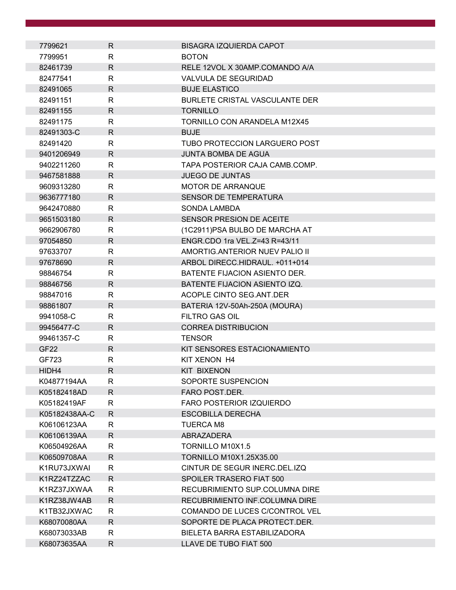| 7799621          | R.           | <b>BISAGRA IZQUIERDA CAPOT</b>        |
|------------------|--------------|---------------------------------------|
| 7799951          | R            | <b>BOTON</b>                          |
| 82461739         | R            | RELE 12VOL X 30AMP.COMANDO A/A        |
| 82477541         | $\mathsf{R}$ | VALVULA DE SEGURIDAD                  |
| 82491065         | $\mathsf{R}$ | <b>BUJE ELASTICO</b>                  |
| 82491151         | $\mathsf{R}$ | <b>BURLETE CRISTAL VASCULANTE DER</b> |
| 82491155         | $\mathsf{R}$ | <b>TORNILLO</b>                       |
| 82491175         | R            | TORNILLO CON ARANDELA M12X45          |
| 82491303-C       | R.           | <b>BUJE</b>                           |
| 82491420         | R            | TUBO PROTECCION LARGUERO POST         |
| 9401206949       | $\mathsf{R}$ | <b>JUNTA BOMBA DE AGUA</b>            |
| 9402211260       | R            | TAPA POSTERIOR CAJA CAMB.COMP.        |
| 9467581888       | $\mathsf{R}$ | <b>JUEGO DE JUNTAS</b>                |
| 9609313280       | R            | <b>MOTOR DE ARRANQUE</b>              |
| 9636777180       | R.           | <b>SENSOR DE TEMPERATURA</b>          |
| 9642470880       | R            | <b>SONDA LAMBDA</b>                   |
| 9651503180       | R            | SENSOR PRESION DE ACEITE              |
| 9662906780       | R            | (1C2911)PSA BULBO DE MARCHA AT        |
| 97054850         | R            | ENGR.CDO 1ra VEL.Z=43 R=43/11         |
| 97633707         | R            | AMORTIG.ANTERIOR NUEV PALIO II        |
| 97678690         | R            | ARBOL DIRECC.HIDRAUL. +011+014        |
| 98846754         | R            | BATENTE FIJACION ASIENTO DER.         |
| 98846756         | $\mathsf{R}$ | BATENTE FIJACION ASIENTO IZQ.         |
| 98847016         | R            | ACOPLE CINTO SEG.ANT.DER              |
| 98861807         | R.           | BATERIA 12V-50Ah-250A (MOURA)         |
| 9941058-C        | R            | <b>FILTRO GAS OIL</b>                 |
| 99456477-C       | R            | <b>CORREA DISTRIBUCION</b>            |
| 99461357-C       | R            | <b>TENSOR</b>                         |
| GF <sub>22</sub> | R.           | KIT SENSORES ESTACIONAMIENTO          |
| GF723            | $\mathsf{R}$ | KIT XENON H4                          |
| HIDH4            | $\mathsf{R}$ | <b>KIT BIXENON</b>                    |
| K04877194AA      | R            | SOPORTE SUSPENCION                    |
| K05182418AD      | R.           | <b>FARO POST DER.</b>                 |
| K05182419AF      | R            | <b>FARO POSTERIOR IZQUIERDO</b>       |
| K05182438AA-C    | $\mathsf{R}$ | <b>ESCOBILLA DERECHA</b>              |
| K06106123AA      | R            | <b>TUERCA M8</b>                      |
| K06106139AA      | $\mathsf{R}$ | ABRAZADERA                            |
| K06504926AA      | R            | <b>TORNILLO M10X1.5</b>               |
| K06509708AA      | $\mathsf{R}$ | <b>TORNILLO M10X1.25X35.00</b>        |
| K1RU73JXWAI      | R.           | CINTUR DE SEGUR INERC. DEL IZO        |
| K1RZ24TZZAC      | R.           | SPOILER TRASERO FIAT 500              |
| K1RZ37JXWAA      | R            | RECUBRIMIENTO SUP.COLUMNA DIRE        |
| K1RZ38JW4AB      | $\mathsf{R}$ | RECUBRIMIENTO INF.COLUMNA DIRE        |
| K1TB32JXWAC      | $\mathsf{R}$ | COMANDO DE LUCES C/CONTROL VEL        |
| K68070080AA      | R.           | SOPORTE DE PLACA PROTECT.DER.         |
| K68073033AB      | R            | BIELETA BARRA ESTABILIZADORA          |
| K68073635AA      | $\mathsf{R}$ | LLAVE DE TUBO FIAT 500                |
|                  |              |                                       |